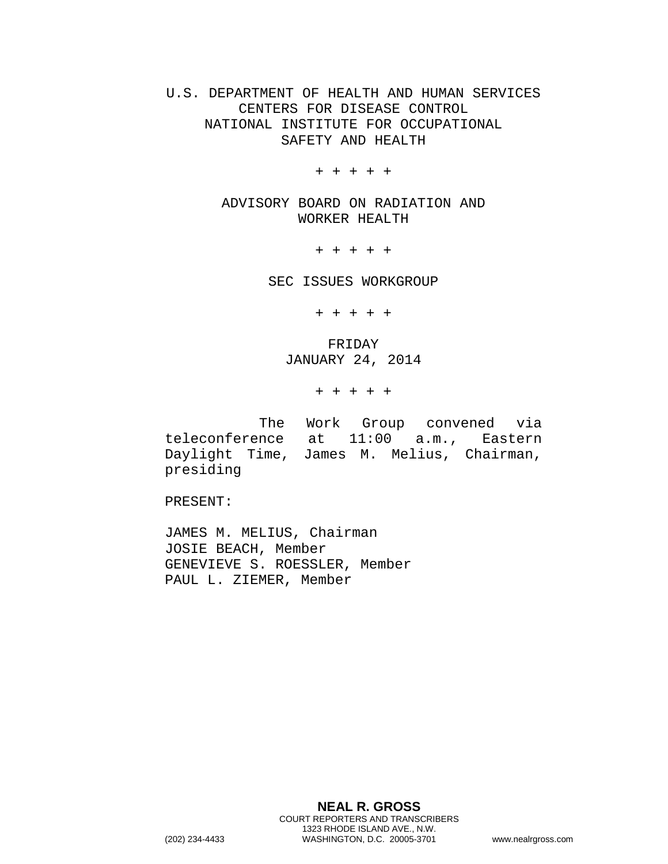U.S. DEPARTMENT OF HEALTH AND HUMAN SERVICES CENTERS FOR DISEASE CONTROL NATIONAL INSTITUTE FOR OCCUPATIONAL SAFETY AND HEALTH

+ + + + +

ADVISORY BOARD ON RADIATION AND WORKER HEALTH

+ + + + +

SEC ISSUES WORKGROUP

+ + + + +

FRIDAY JANUARY 24, 2014

+ + + + +

The Work Group convened via teleconference at 11:00 a.m., Eastern Daylight Time, James M. Melius, Chairman, presiding

PRESENT:

JAMES M. MELIUS, Chairman JOSIE BEACH, Member GENEVIEVE S. ROESSLER, Member PAUL L. ZIEMER, Member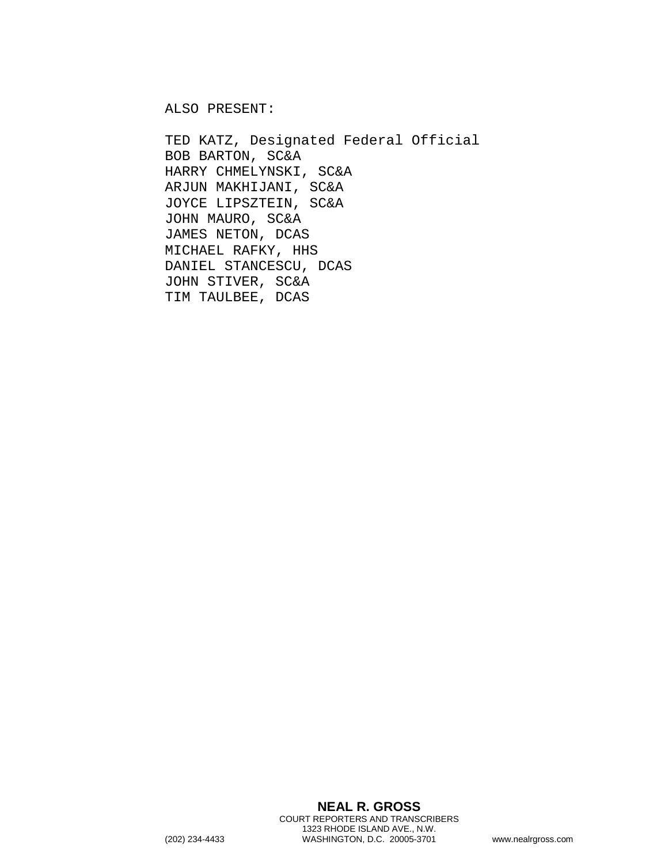ALSO PRESENT:

TED KATZ, Designated Federal Official BOB BARTON, SC&A HARRY CHMELYNSKI, SC&A ARJUN MAKHIJANI, SC&A JOYCE LIPSZTEIN, SC&A JOHN MAURO, SC&A JAMES NETON, DCAS MICHAEL RAFKY, HHS DANIEL STANCESCU, DCAS JOHN STIVER, SC&A TIM TAULBEE, DCAS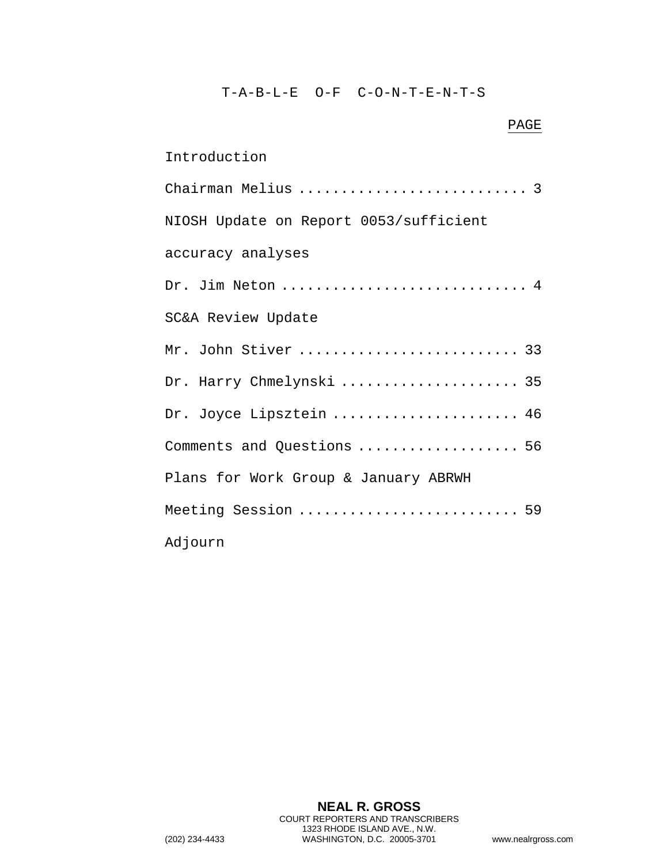## T-A-B-L-E O-F C-O-N-T-E-N-T-S

| PAGE                                   |
|----------------------------------------|
| Introduction                           |
| Chairman Melius  3                     |
| NIOSH Update on Report 0053/sufficient |
| accuracy analyses                      |
| Dr. Jim Neton  4                       |
| SC&A Review Update                     |
| Mr. John Stiver  33                    |
| Dr. Harry Chmelynski  35               |
| Dr. Joyce Lipsztein  46                |
| Comments and Questions  56             |
| Plans for Work Group & January ABRWH   |
| Meeting Session  59                    |
| Adjourn                                |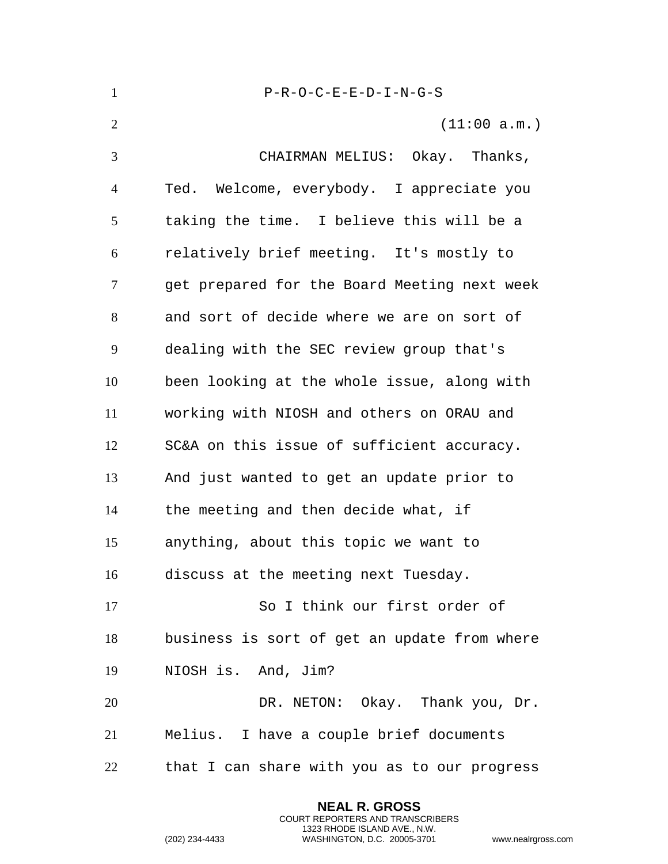| $\mathbf{1}$   | $P-R-O-C-E-E-D-I-N-G-S$                      |
|----------------|----------------------------------------------|
| $\overline{2}$ | (11:00 a.m.)                                 |
| 3              | CHAIRMAN MELIUS: Okay. Thanks,               |
| $\overline{4}$ | Ted. Welcome, everybody. I appreciate you    |
| 5              | taking the time. I believe this will be a    |
| 6              | relatively brief meeting. It's mostly to     |
| 7              | get prepared for the Board Meeting next week |
| 8              | and sort of decide where we are on sort of   |
| 9              | dealing with the SEC review group that's     |
| 10             | been looking at the whole issue, along with  |
| 11             | working with NIOSH and others on ORAU and    |
| 12             | SC&A on this issue of sufficient accuracy.   |
| 13             | And just wanted to get an update prior to    |
| 14             | the meeting and then decide what, if         |
| 15             | anything, about this topic we want to        |
| 16             | discuss at the meeting next Tuesday.         |
| 17             | So I think our first order of                |
| 18             | business is sort of get an update from where |
| 19             | NIOSH is. And, Jim?                          |
| 20             | DR. NETON: Okay. Thank you, Dr.              |
| 21             | Melius. I have a couple brief documents      |
| 22             | that I can share with you as to our progress |

**NEAL R. GROSS** COURT REPORTERS AND TRANSCRIBERS 1323 RHODE ISLAND AVE., N.W.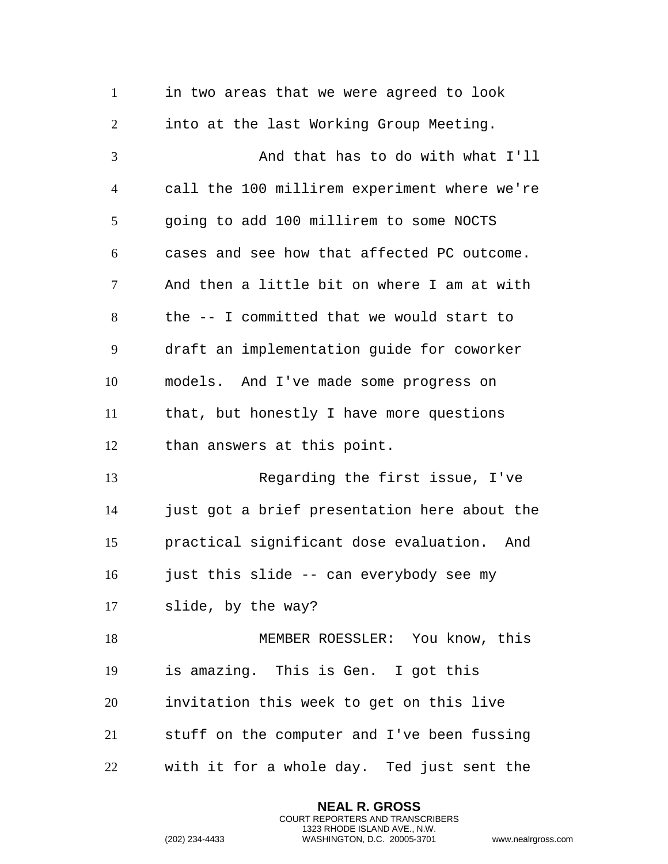| $\mathbf{1}$   | in two areas that we were agreed to look     |
|----------------|----------------------------------------------|
| $\overline{2}$ | into at the last Working Group Meeting.      |
| 3              | And that has to do with what I'll            |
| $\overline{4}$ | call the 100 millirem experiment where we're |
| 5              | going to add 100 millirem to some NOCTS      |
| 6              | cases and see how that affected PC outcome.  |
| 7              | And then a little bit on where I am at with  |
| 8              | the -- I committed that we would start to    |
| 9              | draft an implementation guide for coworker   |
| 10             | models. And I've made some progress on       |
| 11             | that, but honestly I have more questions     |
| 12             | than answers at this point.                  |
| 13             | Regarding the first issue, I've              |
| 14             | just got a brief presentation here about the |
| 15             | practical significant dose evaluation. And   |
| 16             | just this slide -- can everybody see my      |
| 17             | slide, by the way?                           |
| 18             | MEMBER ROESSLER: You know, this              |
| 19             | is amazing. This is Gen. I got this          |
| 20             | invitation this week to get on this live     |
| 21             | stuff on the computer and I've been fussing  |
| 22             | with it for a whole day. Ted just sent the   |

**NEAL R. GROSS** COURT REPORTERS AND TRANSCRIBERS 1323 RHODE ISLAND AVE., N.W.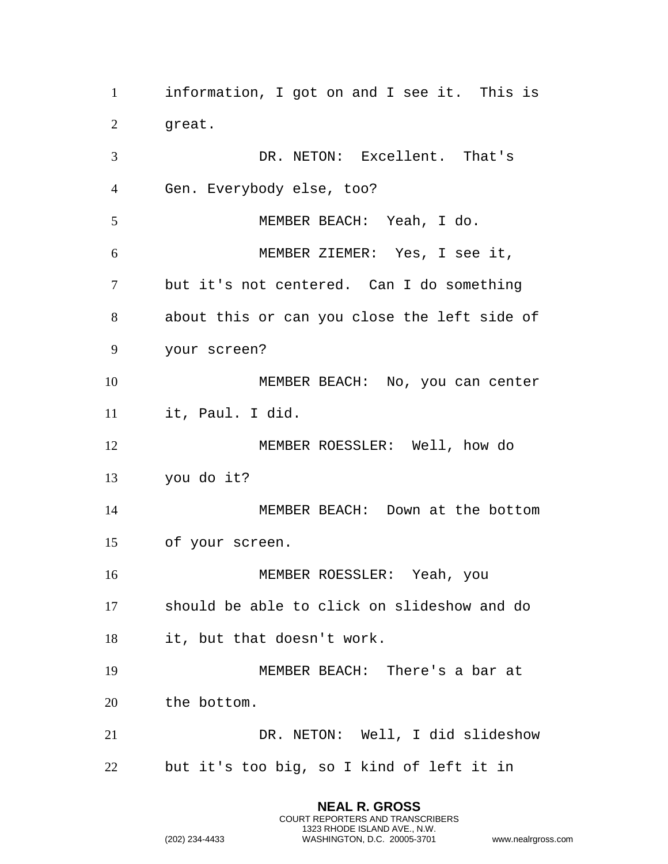information, I got on and I see it. This is great. DR. NETON: Excellent. That's Gen. Everybody else, too? MEMBER BEACH: Yeah, I do. MEMBER ZIEMER: Yes, I see it, but it's not centered. Can I do something about this or can you close the left side of your screen? MEMBER BEACH: No, you can center it, Paul. I did. MEMBER ROESSLER: Well, how do you do it? MEMBER BEACH: Down at the bottom of your screen. MEMBER ROESSLER: Yeah, you should be able to click on slideshow and do it, but that doesn't work. MEMBER BEACH: There's a bar at the bottom. DR. NETON: Well, I did slideshow but it's too big, so I kind of left it in

> **NEAL R. GROSS** COURT REPORTERS AND TRANSCRIBERS 1323 RHODE ISLAND AVE., N.W.

```
(202) 234-4433 WASHINGTON, D.C. 20005-3701 www.nealrgross.com
```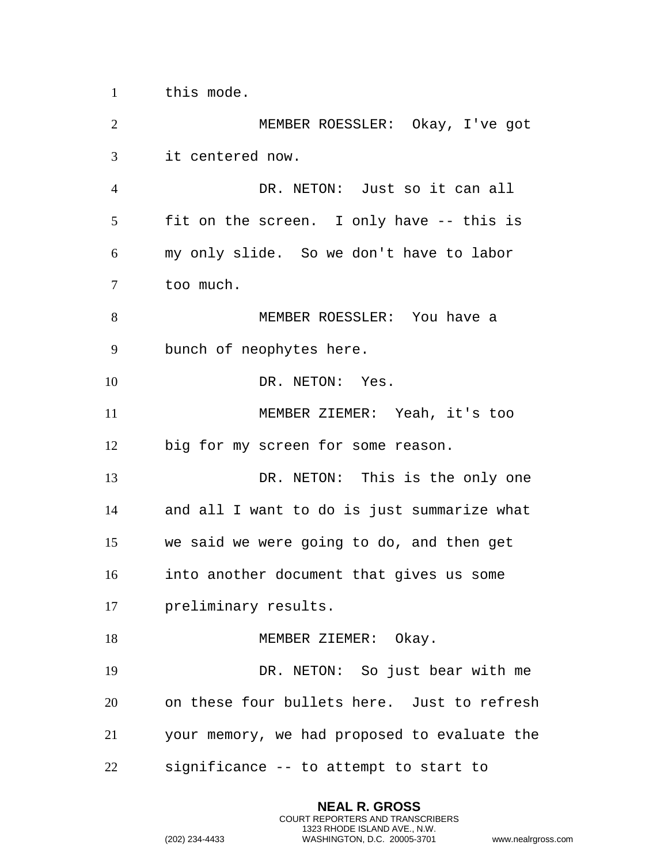this mode.

 MEMBER ROESSLER: Okay, I've got it centered now. DR. NETON: Just so it can all fit on the screen. I only have -- this is my only slide. So we don't have to labor too much. MEMBER ROESSLER: You have a bunch of neophytes here. 10 DR. NETON: Yes. MEMBER ZIEMER: Yeah, it's too big for my screen for some reason. DR. NETON: This is the only one and all I want to do is just summarize what we said we were going to do, and then get into another document that gives us some preliminary results. 18 MEMBER ZIEMER: Okay. DR. NETON: So just bear with me on these four bullets here. Just to refresh your memory, we had proposed to evaluate the significance -- to attempt to start to

> **NEAL R. GROSS** COURT REPORTERS AND TRANSCRIBERS 1323 RHODE ISLAND AVE., N.W.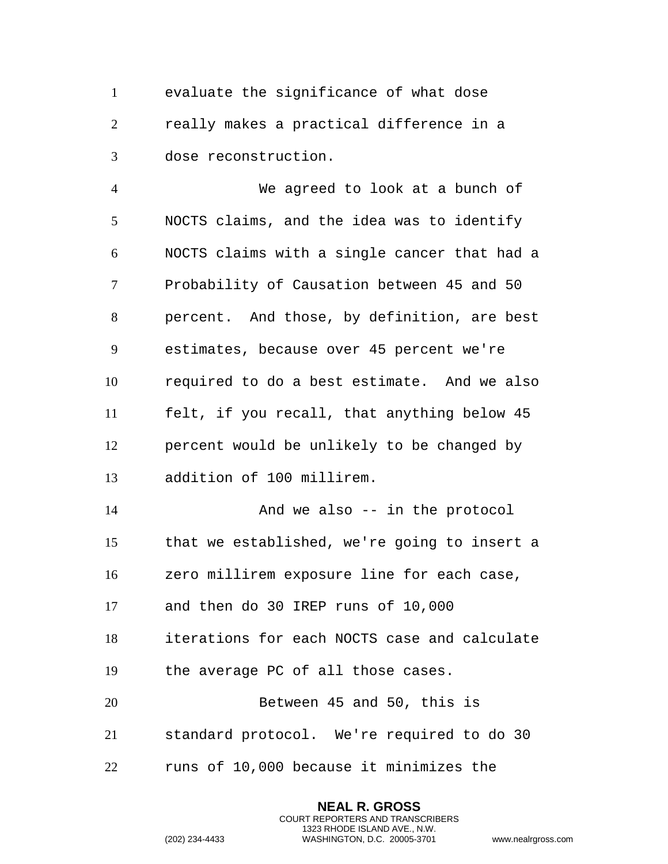evaluate the significance of what dose really makes a practical difference in a dose reconstruction.

 We agreed to look at a bunch of NOCTS claims, and the idea was to identify NOCTS claims with a single cancer that had a Probability of Causation between 45 and 50 percent. And those, by definition, are best estimates, because over 45 percent we're required to do a best estimate. And we also felt, if you recall, that anything below 45 percent would be unlikely to be changed by addition of 100 millirem. 14 And we also -- in the protocol that we established, we're going to insert a zero millirem exposure line for each case, and then do 30 IREP runs of 10,000 iterations for each NOCTS case and calculate

the average PC of all those cases.

 Between 45 and 50, this is standard protocol. We're required to do 30 runs of 10,000 because it minimizes the

> **NEAL R. GROSS** COURT REPORTERS AND TRANSCRIBERS 1323 RHODE ISLAND AVE., N.W.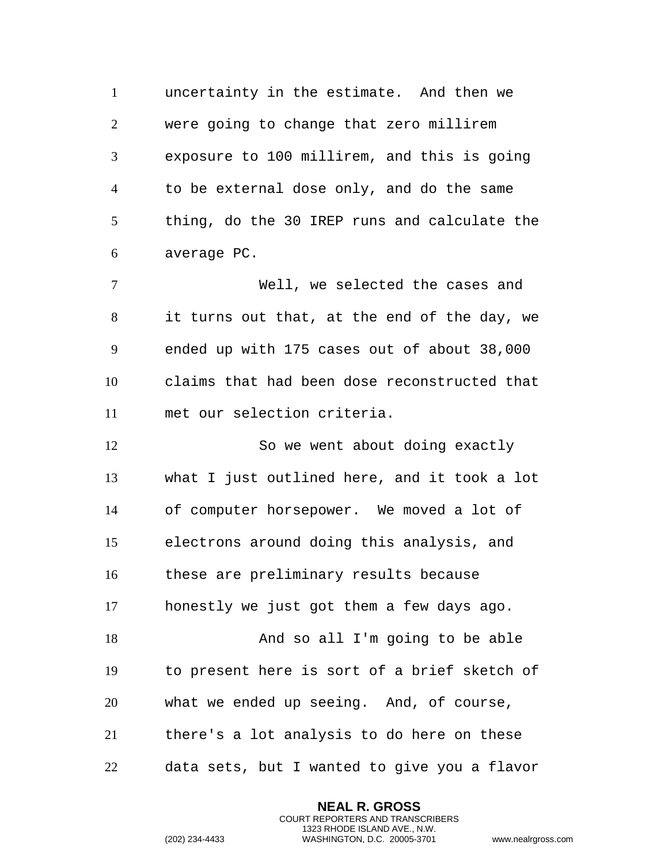uncertainty in the estimate. And then we were going to change that zero millirem exposure to 100 millirem, and this is going to be external dose only, and do the same thing, do the 30 IREP runs and calculate the average PC.

 Well, we selected the cases and it turns out that, at the end of the day, we ended up with 175 cases out of about 38,000 claims that had been dose reconstructed that met our selection criteria.

 So we went about doing exactly what I just outlined here, and it took a lot of computer horsepower. We moved a lot of electrons around doing this analysis, and these are preliminary results because honestly we just got them a few days ago. And so all I'm going to be able to present here is sort of a brief sketch of what we ended up seeing. And, of course, there's a lot analysis to do here on these data sets, but I wanted to give you a flavor

> **NEAL R. GROSS** COURT REPORTERS AND TRANSCRIBERS 1323 RHODE ISLAND AVE., N.W.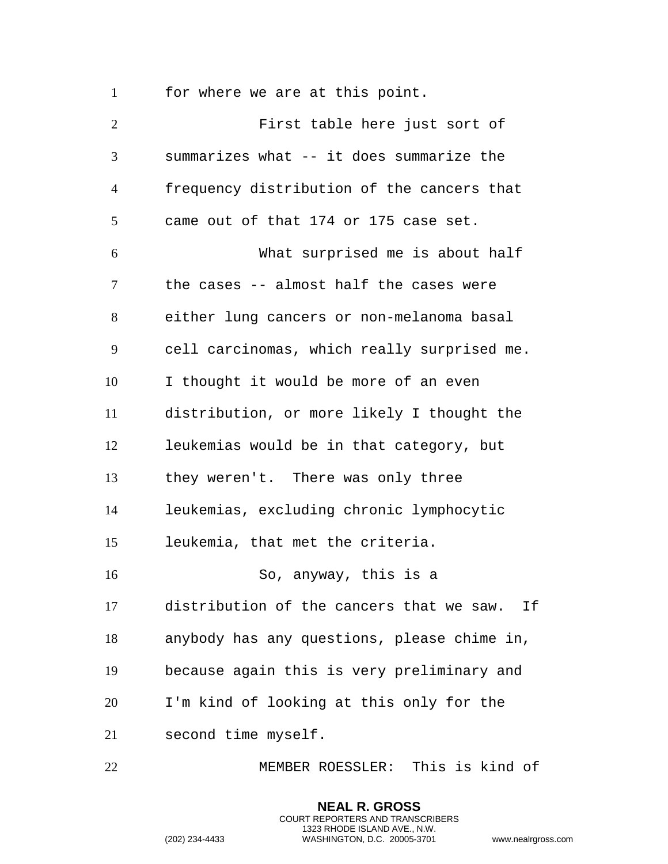for where we are at this point.

 First table here just sort of summarizes what -- it does summarize the frequency distribution of the cancers that came out of that 174 or 175 case set. What surprised me is about half the cases -- almost half the cases were either lung cancers or non-melanoma basal cell carcinomas, which really surprised me. I thought it would be more of an even distribution, or more likely I thought the leukemias would be in that category, but they weren't. There was only three leukemias, excluding chronic lymphocytic leukemia, that met the criteria. So, anyway, this is a distribution of the cancers that we saw. If anybody has any questions, please chime in, because again this is very preliminary and I'm kind of looking at this only for the second time myself.

MEMBER ROESSLER: This is kind of

**NEAL R. GROSS** COURT REPORTERS AND TRANSCRIBERS 1323 RHODE ISLAND AVE., N.W.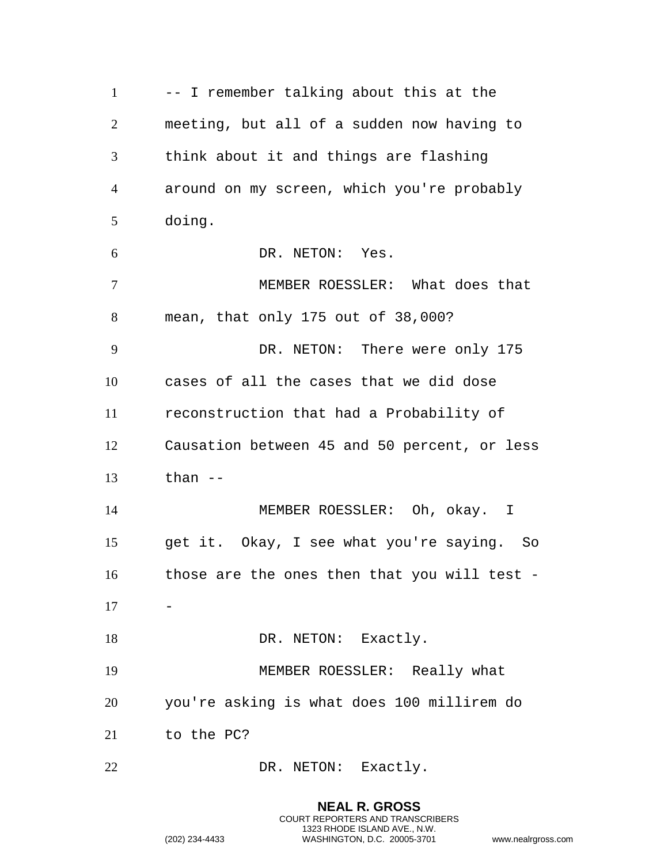-- I remember talking about this at the meeting, but all of a sudden now having to think about it and things are flashing around on my screen, which you're probably doing. DR. NETON: Yes. MEMBER ROESSLER: What does that mean, that only 175 out of 38,000? DR. NETON: There were only 175 cases of all the cases that we did dose reconstruction that had a Probability of Causation between 45 and 50 percent, or less than -- MEMBER ROESSLER: Oh, okay. I get it. Okay, I see what you're saying. So those are the ones then that you will test - - 18 DR. NETON: Exactly. MEMBER ROESSLER: Really what you're asking is what does 100 millirem do to the PC? 22 DR. NETON: Exactly.

> **NEAL R. GROSS** COURT REPORTERS AND TRANSCRIBERS 1323 RHODE ISLAND AVE., N.W.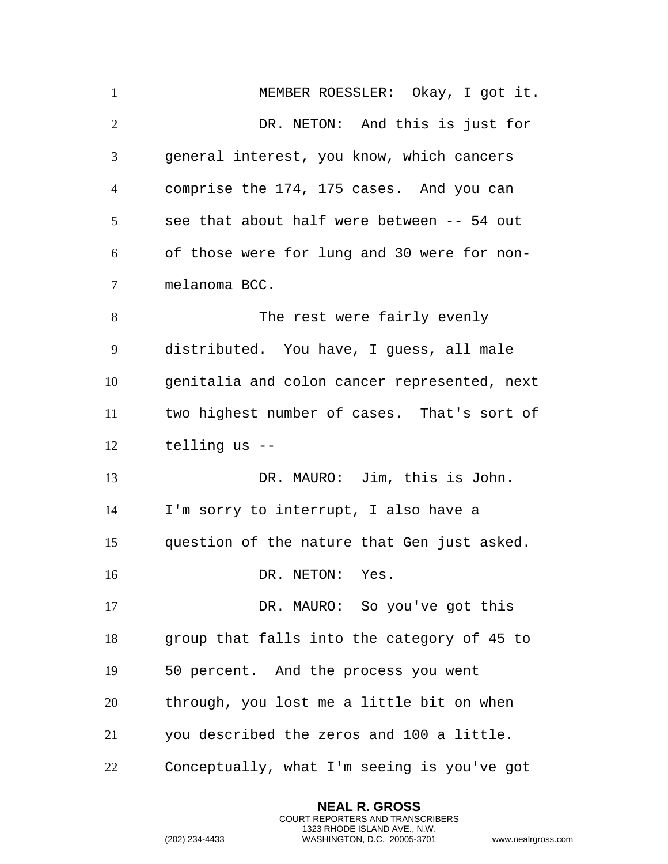MEMBER ROESSLER: Okay, I got it. DR. NETON: And this is just for general interest, you know, which cancers comprise the 174, 175 cases. And you can see that about half were between -- 54 out of those were for lung and 30 were for non- melanoma BCC. 8 The rest were fairly evenly distributed. You have, I guess, all male genitalia and colon cancer represented, next two highest number of cases. That's sort of telling us -- DR. MAURO: Jim, this is John. I'm sorry to interrupt, I also have a question of the nature that Gen just asked. 16 DR. NETON: Yes. DR. MAURO: So you've got this group that falls into the category of 45 to 50 percent. And the process you went through, you lost me a little bit on when you described the zeros and 100 a little. Conceptually, what I'm seeing is you've got

> **NEAL R. GROSS** COURT REPORTERS AND TRANSCRIBERS 1323 RHODE ISLAND AVE., N.W.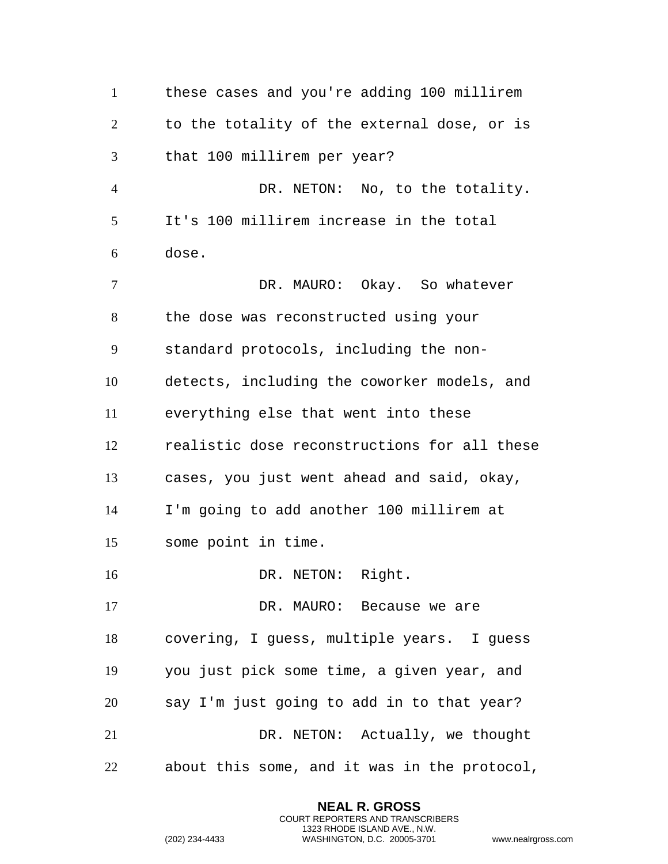these cases and you're adding 100 millirem to the totality of the external dose, or is that 100 millirem per year? DR. NETON: No, to the totality. It's 100 millirem increase in the total dose. DR. MAURO: Okay. So whatever the dose was reconstructed using your standard protocols, including the non- detects, including the coworker models, and everything else that went into these realistic dose reconstructions for all these cases, you just went ahead and said, okay, I'm going to add another 100 millirem at some point in time. 16 DR. NETON: Right. 17 DR. MAURO: Because we are covering, I guess, multiple years. I guess you just pick some time, a given year, and say I'm just going to add in to that year? DR. NETON: Actually, we thought about this some, and it was in the protocol,

> **NEAL R. GROSS** COURT REPORTERS AND TRANSCRIBERS 1323 RHODE ISLAND AVE., N.W.

```
(202) 234-4433 WASHINGTON, D.C. 20005-3701 www.nealrgross.com
```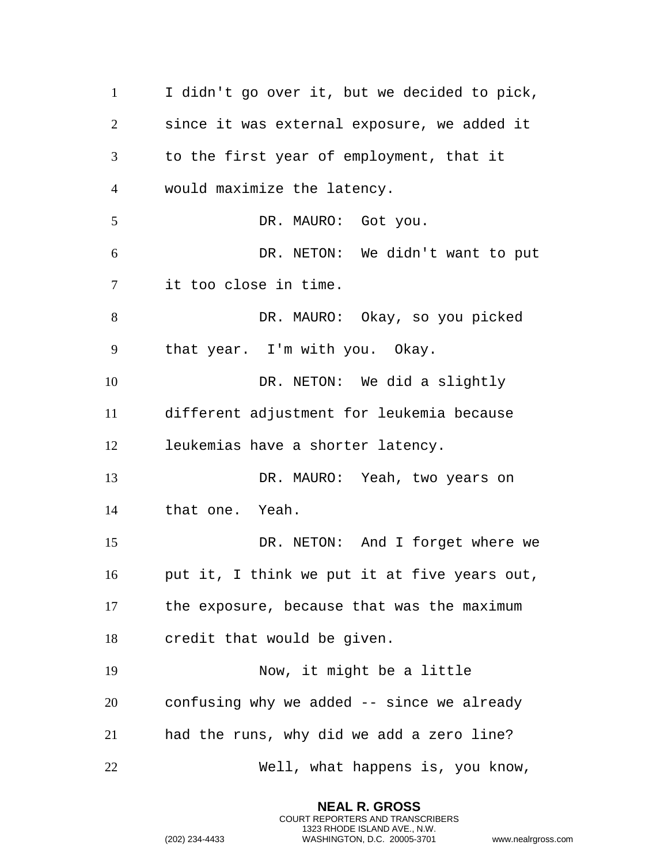I didn't go over it, but we decided to pick, since it was external exposure, we added it to the first year of employment, that it would maximize the latency. 5 DR. MAURO: Got you. DR. NETON: We didn't want to put it too close in time. DR. MAURO: Okay, so you picked that year. I'm with you. Okay. DR. NETON: We did a slightly different adjustment for leukemia because leukemias have a shorter latency. DR. MAURO: Yeah, two years on that one. Yeah. DR. NETON: And I forget where we put it, I think we put it at five years out, the exposure, because that was the maximum credit that would be given. Now, it might be a little confusing why we added -- since we already had the runs, why did we add a zero line? Well, what happens is, you know,

> **NEAL R. GROSS** COURT REPORTERS AND TRANSCRIBERS 1323 RHODE ISLAND AVE., N.W.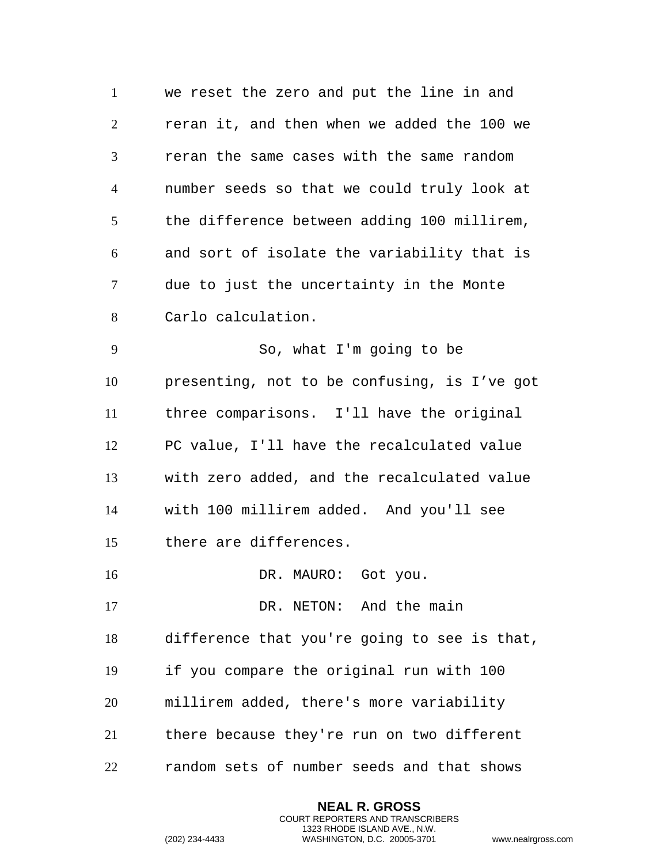we reset the zero and put the line in and reran it, and then when we added the 100 we reran the same cases with the same random number seeds so that we could truly look at the difference between adding 100 millirem, and sort of isolate the variability that is due to just the uncertainty in the Monte Carlo calculation. So, what I'm going to be presenting, not to be confusing, is I've got three comparisons. I'll have the original PC value, I'll have the recalculated value with zero added, and the recalculated value with 100 millirem added. And you'll see there are differences. 16 DR. MAURO: Got you.

17 DR. NETON: And the main difference that you're going to see is that, if you compare the original run with 100 millirem added, there's more variability there because they're run on two different random sets of number seeds and that shows

> **NEAL R. GROSS** COURT REPORTERS AND TRANSCRIBERS 1323 RHODE ISLAND AVE., N.W.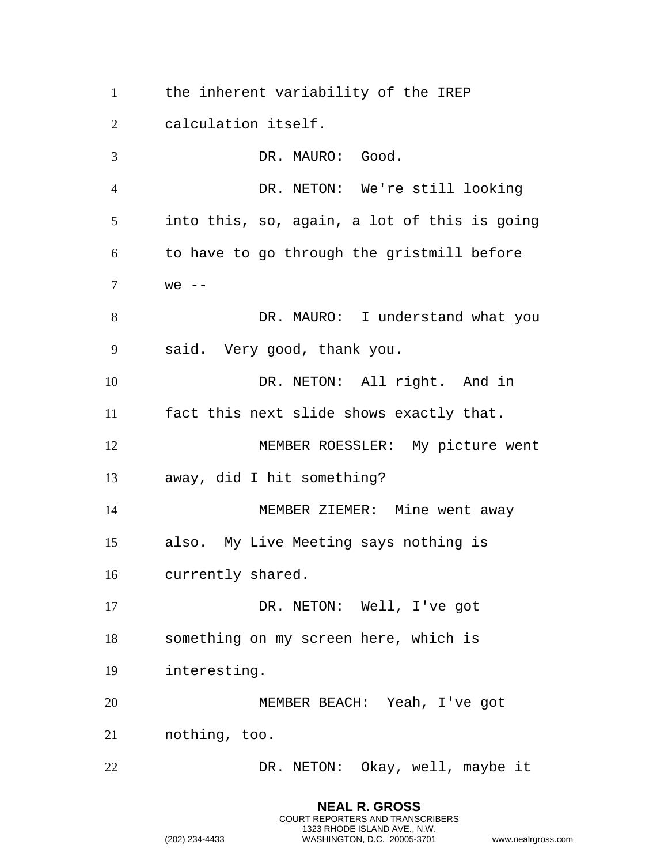the inherent variability of the IREP

calculation itself.

 DR. MAURO: Good. DR. NETON: We're still looking into this, so, again, a lot of this is going to have to go through the gristmill before we -- DR. MAURO: I understand what you said. Very good, thank you. DR. NETON: All right. And in fact this next slide shows exactly that. MEMBER ROESSLER: My picture went away, did I hit something? MEMBER ZIEMER: Mine went away also. My Live Meeting says nothing is currently shared. DR. NETON: Well, I've got something on my screen here, which is interesting. MEMBER BEACH: Yeah, I've got nothing, too. DR. NETON: Okay, well, maybe it

> **NEAL R. GROSS** COURT REPORTERS AND TRANSCRIBERS 1323 RHODE ISLAND AVE., N.W.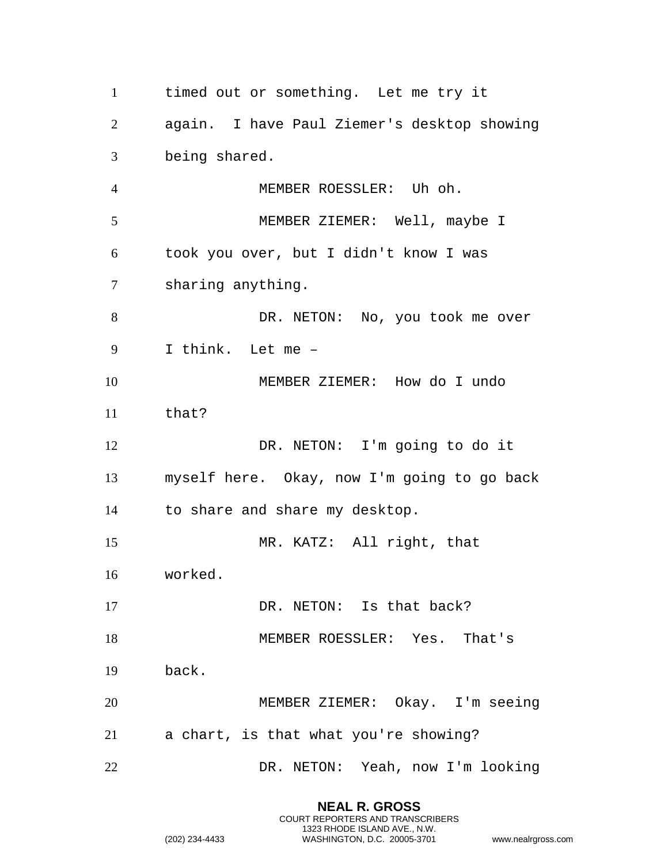timed out or something. Let me try it again. I have Paul Ziemer's desktop showing being shared. MEMBER ROESSLER: Uh oh. MEMBER ZIEMER: Well, maybe I took you over, but I didn't know I was sharing anything. 8 DR. NETON: No, you took me over I think. Let me – MEMBER ZIEMER: How do I undo that? DR. NETON: I'm going to do it myself here. Okay, now I'm going to go back to share and share my desktop. MR. KATZ: All right, that worked. 17 DR. NETON: Is that back? MEMBER ROESSLER: Yes. That's back. MEMBER ZIEMER: Okay. I'm seeing a chart, is that what you're showing? DR. NETON: Yeah, now I'm looking

> **NEAL R. GROSS** COURT REPORTERS AND TRANSCRIBERS 1323 RHODE ISLAND AVE., N.W.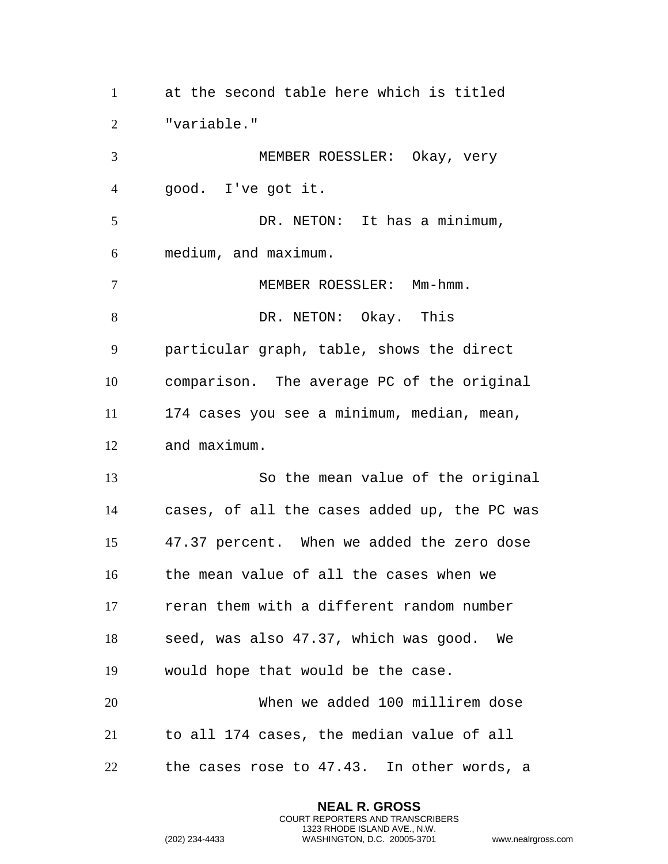at the second table here which is titled "variable." MEMBER ROESSLER: Okay, very good. I've got it. 5 DR. NETON: It has a minimum, medium, and maximum. MEMBER ROESSLER: Mm-hmm. 8 DR. NETON: Okay. This particular graph, table, shows the direct comparison. The average PC of the original 174 cases you see a minimum, median, mean, and maximum. So the mean value of the original cases, of all the cases added up, the PC was 47.37 percent. When we added the zero dose the mean value of all the cases when we reran them with a different random number seed, was also 47.37, which was good. We would hope that would be the case. When we added 100 millirem dose to all 174 cases, the median value of all the cases rose to 47.43. In other words, a

> **NEAL R. GROSS** COURT REPORTERS AND TRANSCRIBERS 1323 RHODE ISLAND AVE., N.W.

```
(202) 234-4433 WASHINGTON, D.C. 20005-3701 www.nealrgross.com
```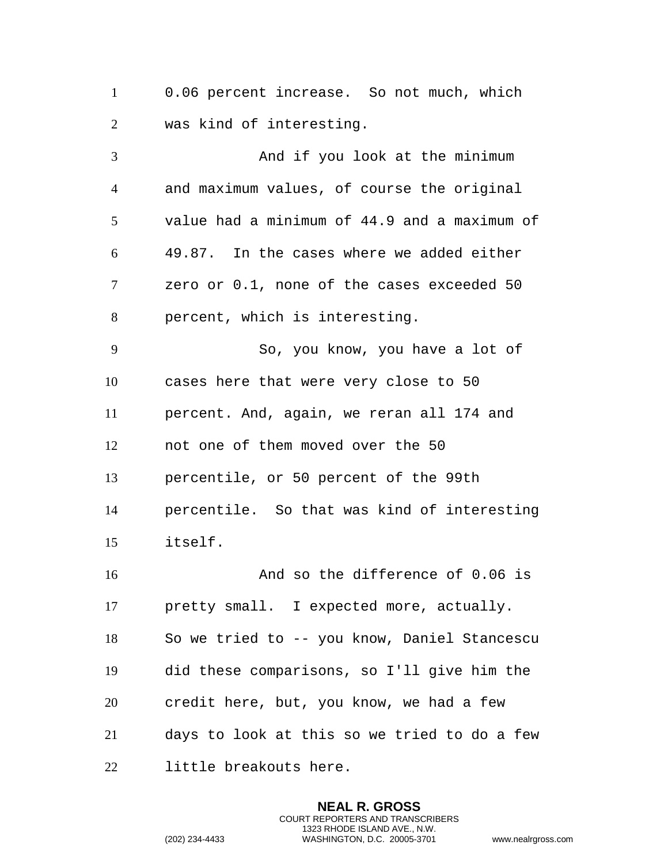0.06 percent increase. So not much, which was kind of interesting.

3 And if you look at the minimum and maximum values, of course the original value had a minimum of 44.9 and a maximum of 49.87. In the cases where we added either zero or 0.1, none of the cases exceeded 50 percent, which is interesting. So, you know, you have a lot of cases here that were very close to 50 percent. And, again, we reran all 174 and not one of them moved over the 50 percentile, or 50 percent of the 99th percentile. So that was kind of interesting itself. And so the difference of 0.06 is

 pretty small. I expected more, actually. So we tried to -- you know, Daniel Stancescu did these comparisons, so I'll give him the credit here, but, you know, we had a few days to look at this so we tried to do a few little breakouts here.

> **NEAL R. GROSS** COURT REPORTERS AND TRANSCRIBERS 1323 RHODE ISLAND AVE., N.W.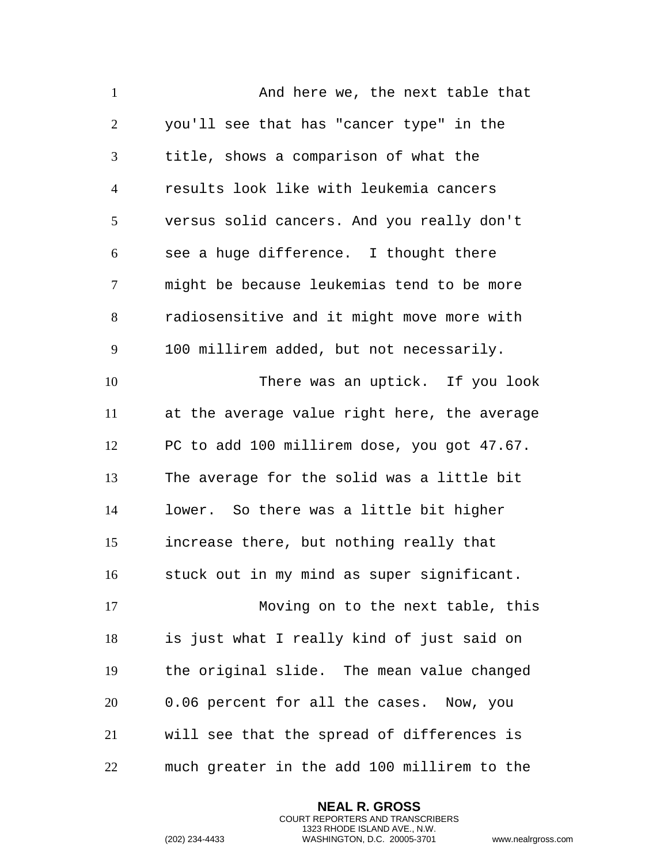1 And here we, the next table that you'll see that has "cancer type" in the title, shows a comparison of what the results look like with leukemia cancers versus solid cancers. And you really don't see a huge difference. I thought there might be because leukemias tend to be more radiosensitive and it might move more with 100 millirem added, but not necessarily. There was an uptick. If you look at the average value right here, the average PC to add 100 millirem dose, you got 47.67. The average for the solid was a little bit lower. So there was a little bit higher increase there, but nothing really that stuck out in my mind as super significant. Moving on to the next table, this is just what I really kind of just said on the original slide. The mean value changed 0.06 percent for all the cases. Now, you will see that the spread of differences is much greater in the add 100 millirem to the

> **NEAL R. GROSS** COURT REPORTERS AND TRANSCRIBERS 1323 RHODE ISLAND AVE., N.W.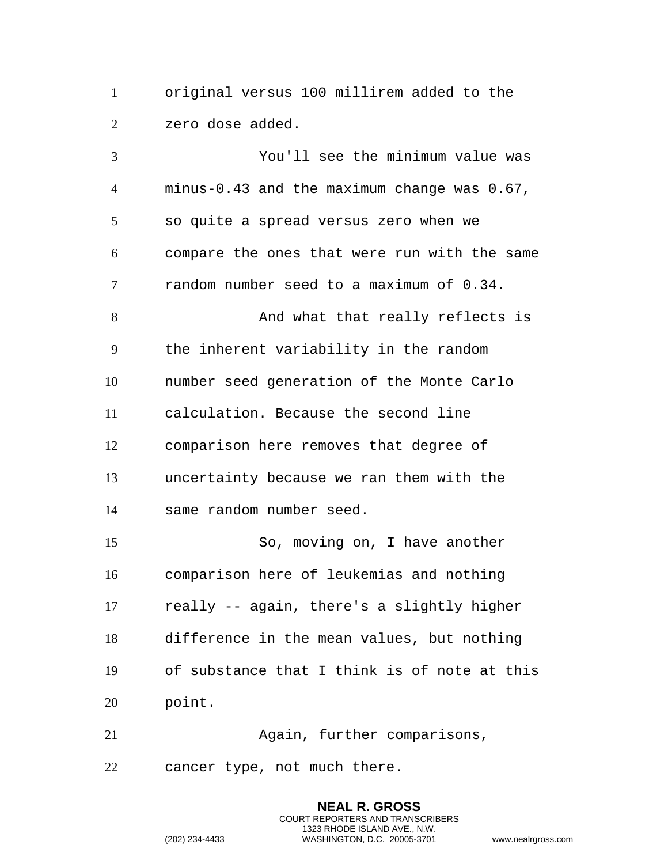original versus 100 millirem added to the zero dose added.

 You'll see the minimum value was minus-0.43 and the maximum change was 0.67, so quite a spread versus zero when we compare the ones that were run with the same random number seed to a maximum of 0.34. 8 And what that really reflects is the inherent variability in the random number seed generation of the Monte Carlo calculation. Because the second line comparison here removes that degree of uncertainty because we ran them with the same random number seed. So, moving on, I have another comparison here of leukemias and nothing really -- again, there's a slightly higher difference in the mean values, but nothing of substance that I think is of note at this point.

 Again, further comparisons, cancer type, not much there.

> **NEAL R. GROSS** COURT REPORTERS AND TRANSCRIBERS 1323 RHODE ISLAND AVE., N.W.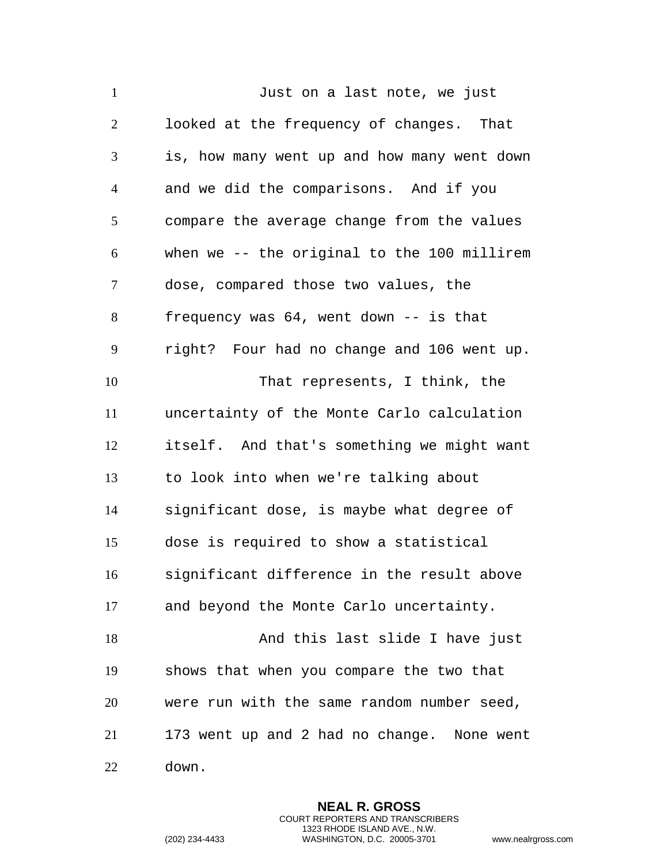1 Just on a last note, we just looked at the frequency of changes. That is, how many went up and how many went down and we did the comparisons. And if you compare the average change from the values when we -- the original to the 100 millirem dose, compared those two values, the frequency was 64, went down -- is that right? Four had no change and 106 went up. That represents, I think, the uncertainty of the Monte Carlo calculation itself. And that's something we might want to look into when we're talking about significant dose, is maybe what degree of dose is required to show a statistical significant difference in the result above and beyond the Monte Carlo uncertainty. 18 And this last slide I have just shows that when you compare the two that were run with the same random number seed, 173 went up and 2 had no change. None went down.

> **NEAL R. GROSS** COURT REPORTERS AND TRANSCRIBERS 1323 RHODE ISLAND AVE., N.W.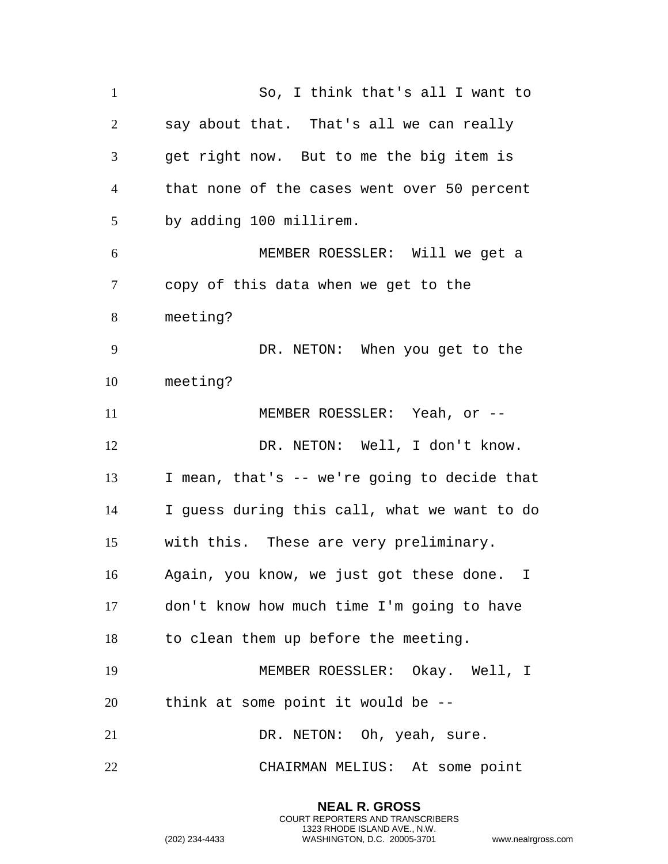So, I think that's all I want to say about that. That's all we can really get right now. But to me the big item is that none of the cases went over 50 percent by adding 100 millirem. MEMBER ROESSLER: Will we get a copy of this data when we get to the meeting? DR. NETON: When you get to the meeting? 11 MEMBER ROESSLER: Yeah, or --12 DR. NETON: Well, I don't know. I mean, that's -- we're going to decide that I guess during this call, what we want to do with this. These are very preliminary. Again, you know, we just got these done. I don't know how much time I'm going to have to clean them up before the meeting. MEMBER ROESSLER: Okay. Well, I think at some point it would be -- 21 DR. NETON: Oh, yeah, sure. CHAIRMAN MELIUS: At some point

> **NEAL R. GROSS** COURT REPORTERS AND TRANSCRIBERS 1323 RHODE ISLAND AVE., N.W.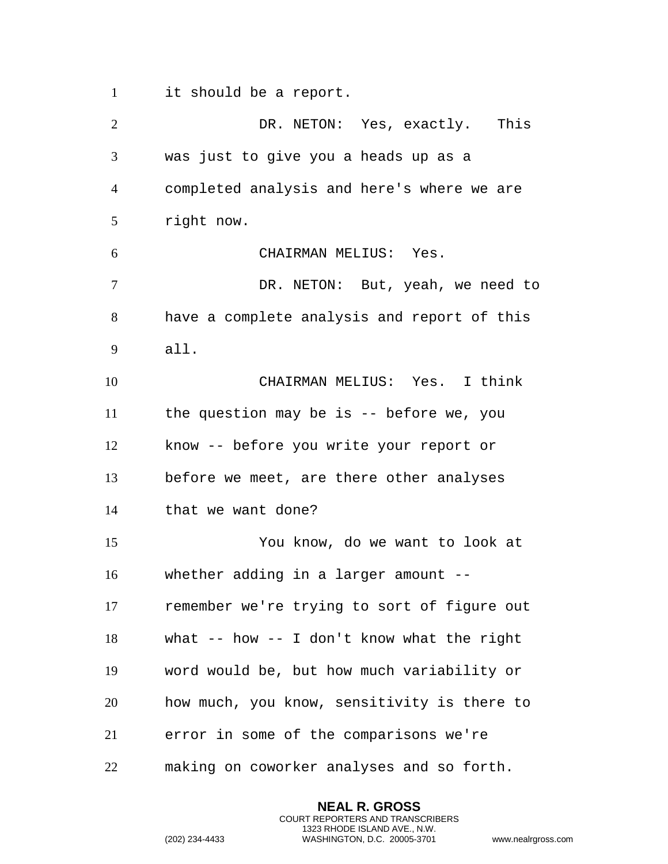it should be a report.

 DR. NETON: Yes, exactly. This was just to give you a heads up as a completed analysis and here's where we are right now. CHAIRMAN MELIUS: Yes. DR. NETON: But, yeah, we need to have a complete analysis and report of this all. CHAIRMAN MELIUS: Yes. I think the question may be is -- before we, you know -- before you write your report or before we meet, are there other analyses that we want done? You know, do we want to look at whether adding in a larger amount -- remember we're trying to sort of figure out what -- how -- I don't know what the right word would be, but how much variability or how much, you know, sensitivity is there to error in some of the comparisons we're making on coworker analyses and so forth.

> **NEAL R. GROSS** COURT REPORTERS AND TRANSCRIBERS 1323 RHODE ISLAND AVE., N.W.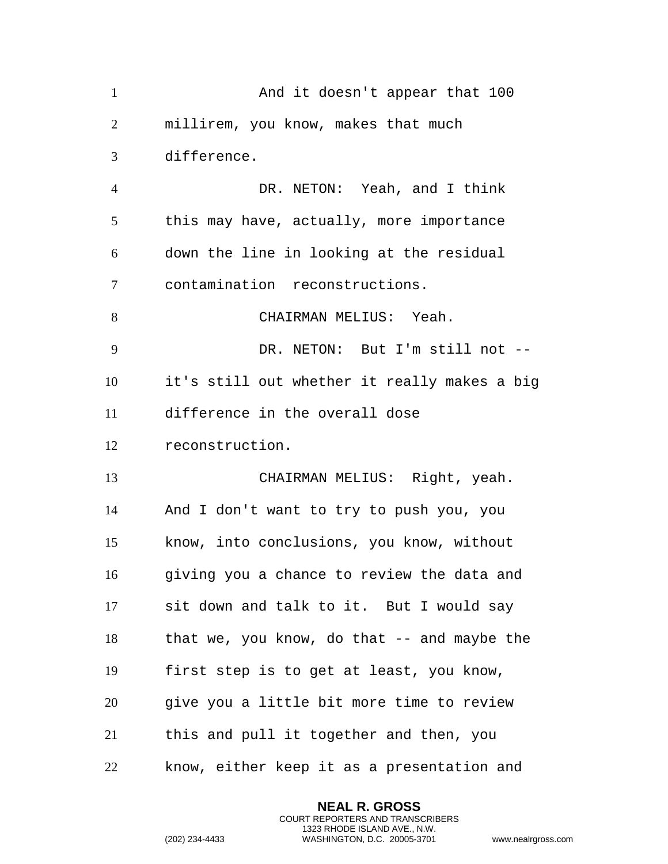| $\mathbf{1}$   | And it doesn't appear that 100                 |
|----------------|------------------------------------------------|
| $\overline{2}$ | millirem, you know, makes that much            |
| 3              | difference.                                    |
| $\overline{4}$ | DR. NETON: Yeah, and I think                   |
| 5              | this may have, actually, more importance       |
| 6              | down the line in looking at the residual       |
| 7              | contamination reconstructions.                 |
| 8              | CHAIRMAN MELIUS: Yeah.                         |
| 9              | DR. NETON: But I'm still not --                |
| 10             | it's still out whether it really makes a big   |
| 11             | difference in the overall dose                 |
| 12             | reconstruction.                                |
| 13             | CHAIRMAN MELIUS: Right, yeah.                  |
| 14             | And I don't want to try to push you, you       |
| 15             | know, into conclusions, you know, without      |
| 16             | giving you a chance to review the data and     |
| 17             | sit down and talk to it. But I would say       |
| 18             | that we, you know, do that $-$ - and maybe the |
| 19             | first step is to get at least, you know,       |
| 20             | give you a little bit more time to review      |
| 21             | this and pull it together and then, you        |
| 22             | know, either keep it as a presentation and     |

**NEAL R. GROSS** COURT REPORTERS AND TRANSCRIBERS 1323 RHODE ISLAND AVE., N.W.

```
(202) 234-4433 WASHINGTON, D.C. 20005-3701 www.nealrgross.com
```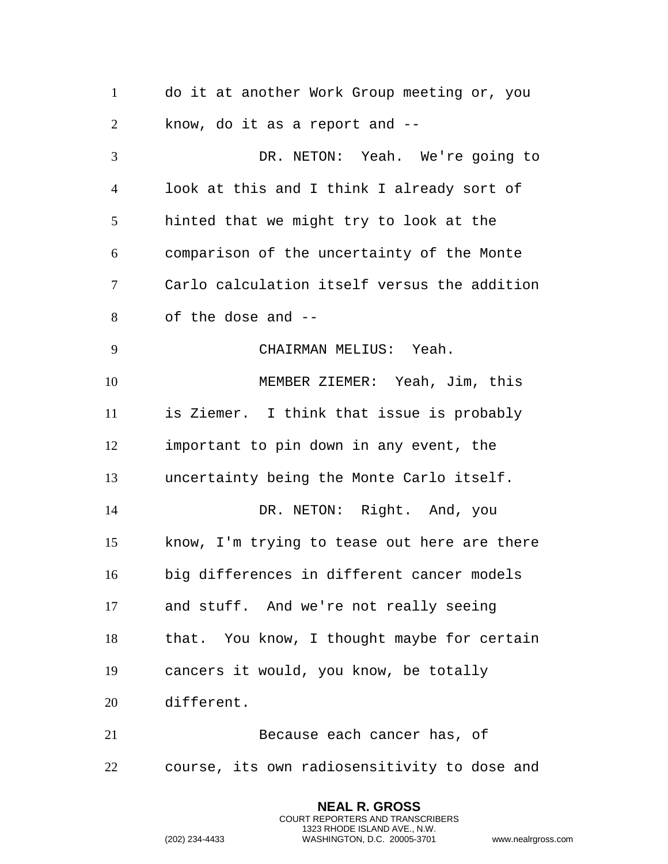do it at another Work Group meeting or, you know, do it as a report and -- DR. NETON: Yeah. We're going to look at this and I think I already sort of hinted that we might try to look at the comparison of the uncertainty of the Monte Carlo calculation itself versus the addition of the dose and -- CHAIRMAN MELIUS: Yeah. MEMBER ZIEMER: Yeah, Jim, this is Ziemer. I think that issue is probably important to pin down in any event, the uncertainty being the Monte Carlo itself. 14 DR. NETON: Right. And, you know, I'm trying to tease out here are there big differences in different cancer models and stuff. And we're not really seeing that. You know, I thought maybe for certain cancers it would, you know, be totally different. Because each cancer has, of course, its own radiosensitivity to dose and

> **NEAL R. GROSS** COURT REPORTERS AND TRANSCRIBERS 1323 RHODE ISLAND AVE., N.W.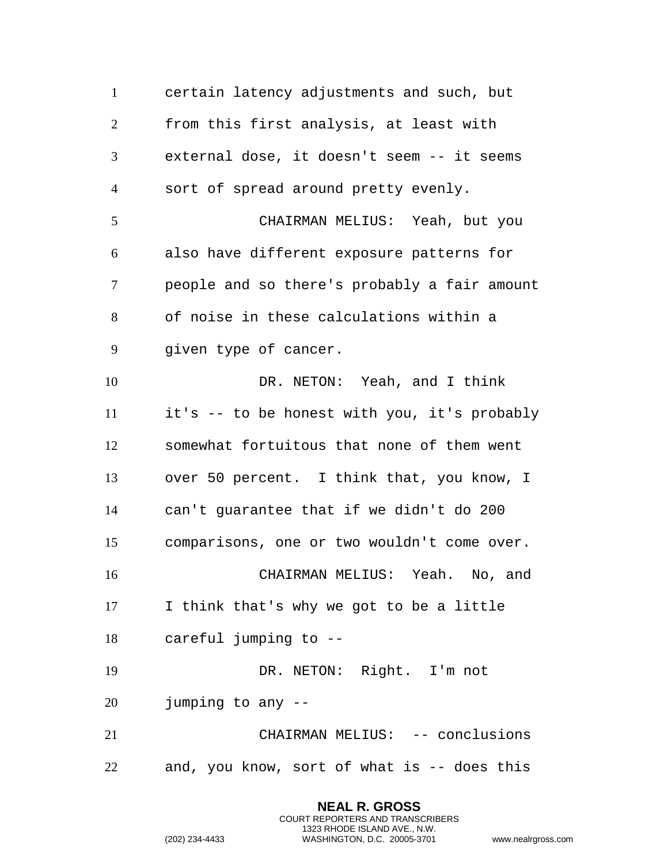certain latency adjustments and such, but from this first analysis, at least with external dose, it doesn't seem -- it seems sort of spread around pretty evenly. CHAIRMAN MELIUS: Yeah, but you also have different exposure patterns for people and so there's probably a fair amount of noise in these calculations within a given type of cancer. 10 DR. NETON: Yeah, and I think it's -- to be honest with you, it's probably somewhat fortuitous that none of them went over 50 percent. I think that, you know, I can't guarantee that if we didn't do 200 comparisons, one or two wouldn't come over. CHAIRMAN MELIUS: Yeah. No, and I think that's why we got to be a little careful jumping to -- DR. NETON: Right. I'm not jumping to any -- CHAIRMAN MELIUS: -- conclusions and, you know, sort of what is -- does this

> **NEAL R. GROSS** COURT REPORTERS AND TRANSCRIBERS 1323 RHODE ISLAND AVE., N.W.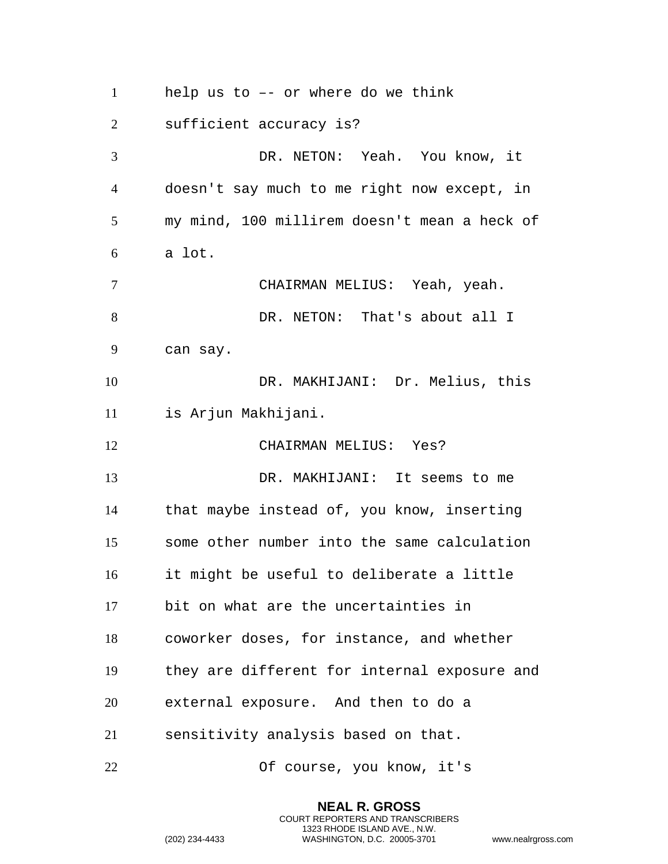help us to –- or where do we think

sufficient accuracy is?

 DR. NETON: Yeah. You know, it doesn't say much to me right now except, in my mind, 100 millirem doesn't mean a heck of a lot.

 CHAIRMAN MELIUS: Yeah, yeah. 8 DR. NETON: That's about all I can say.

 DR. MAKHIJANI: Dr. Melius, this is Arjun Makhijani.

CHAIRMAN MELIUS: Yes?

 DR. MAKHIJANI: It seems to me that maybe instead of, you know, inserting some other number into the same calculation it might be useful to deliberate a little bit on what are the uncertainties in coworker doses, for instance, and whether they are different for internal exposure and external exposure. And then to do a sensitivity analysis based on that.

Of course, you know, it's

**NEAL R. GROSS** COURT REPORTERS AND TRANSCRIBERS 1323 RHODE ISLAND AVE., N.W.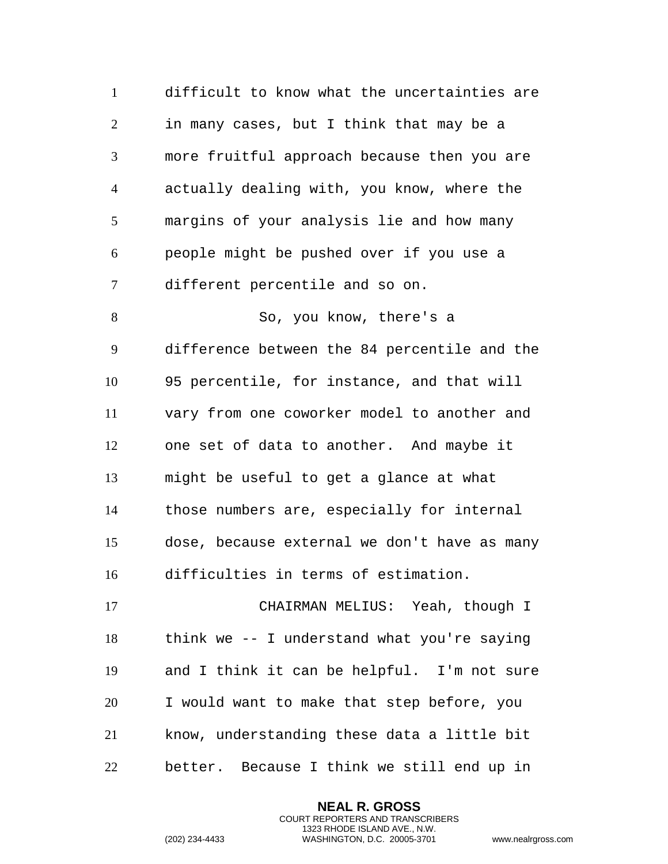difficult to know what the uncertainties are in many cases, but I think that may be a more fruitful approach because then you are actually dealing with, you know, where the margins of your analysis lie and how many people might be pushed over if you use a different percentile and so on. So, you know, there's a difference between the 84 percentile and the 95 percentile, for instance, and that will vary from one coworker model to another and one set of data to another. And maybe it might be useful to get a glance at what those numbers are, especially for internal dose, because external we don't have as many difficulties in terms of estimation. CHAIRMAN MELIUS: Yeah, though I think we -- I understand what you're saying and I think it can be helpful. I'm not sure I would want to make that step before, you know, understanding these data a little bit better. Because I think we still end up in

> **NEAL R. GROSS** COURT REPORTERS AND TRANSCRIBERS 1323 RHODE ISLAND AVE., N.W.

```
(202) 234-4433 WASHINGTON, D.C. 20005-3701 www.nealrgross.com
```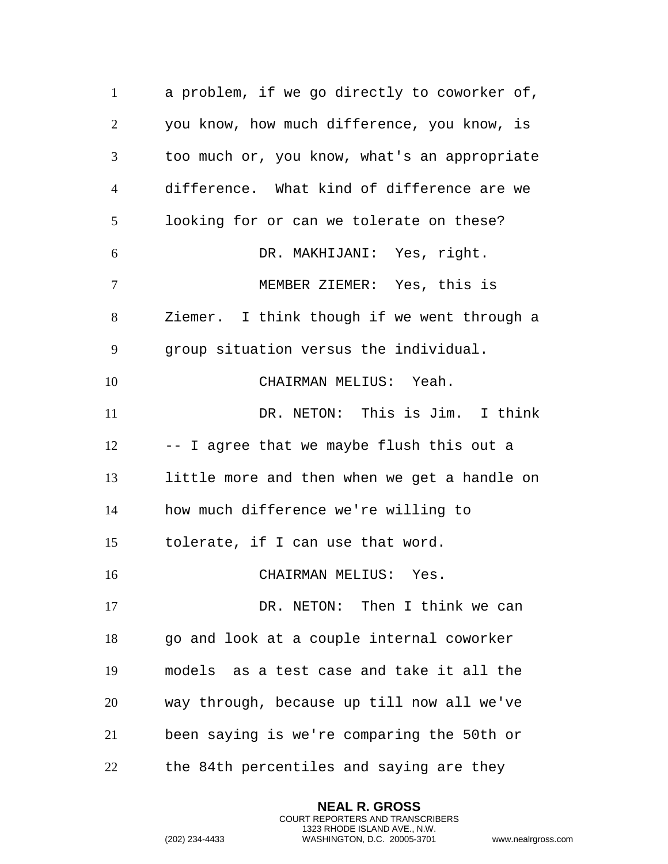a problem, if we go directly to coworker of, you know, how much difference, you know, is too much or, you know, what's an appropriate difference. What kind of difference are we looking for or can we tolerate on these? DR. MAKHIJANI: Yes, right. MEMBER ZIEMER: Yes, this is Ziemer. I think though if we went through a group situation versus the individual. CHAIRMAN MELIUS: Yeah. DR. NETON: This is Jim. I think -- I agree that we maybe flush this out a little more and then when we get a handle on how much difference we're willing to tolerate, if I can use that word. CHAIRMAN MELIUS: Yes. 17 DR. NETON: Then I think we can 18 go and look at a couple internal coworker models as a test case and take it all the way through, because up till now all we've been saying is we're comparing the 50th or the 84th percentiles and saying are they

> **NEAL R. GROSS** COURT REPORTERS AND TRANSCRIBERS 1323 RHODE ISLAND AVE., N.W.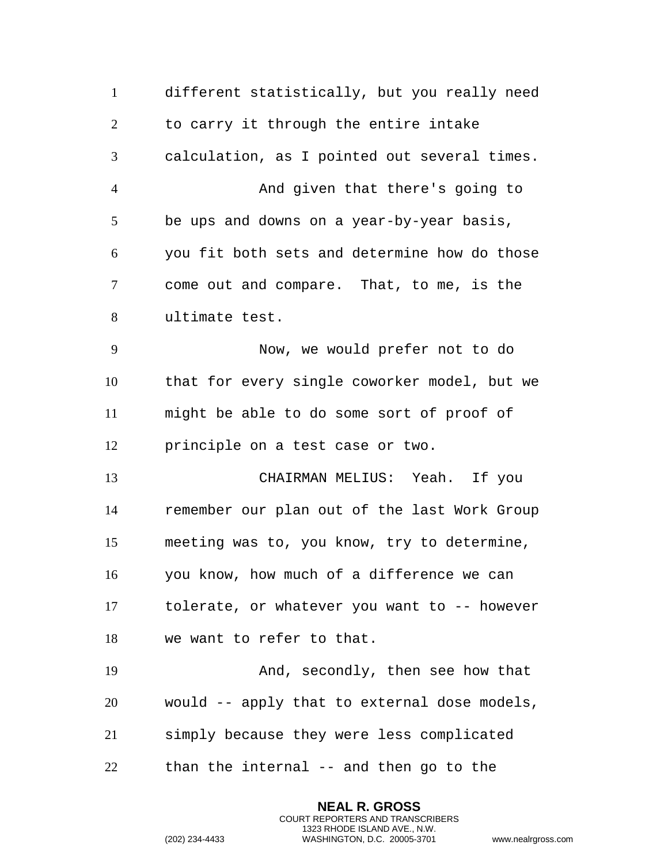different statistically, but you really need to carry it through the entire intake calculation, as I pointed out several times. And given that there's going to be ups and downs on a year-by-year basis, you fit both sets and determine how do those come out and compare. That, to me, is the ultimate test. Now, we would prefer not to do that for every single coworker model, but we might be able to do some sort of proof of principle on a test case or two. CHAIRMAN MELIUS: Yeah. If you remember our plan out of the last Work Group meeting was to, you know, try to determine, you know, how much of a difference we can tolerate, or whatever you want to -- however we want to refer to that. And, secondly, then see how that would -- apply that to external dose models, simply because they were less complicated than the internal -- and then go to the

> **NEAL R. GROSS** COURT REPORTERS AND TRANSCRIBERS 1323 RHODE ISLAND AVE., N.W.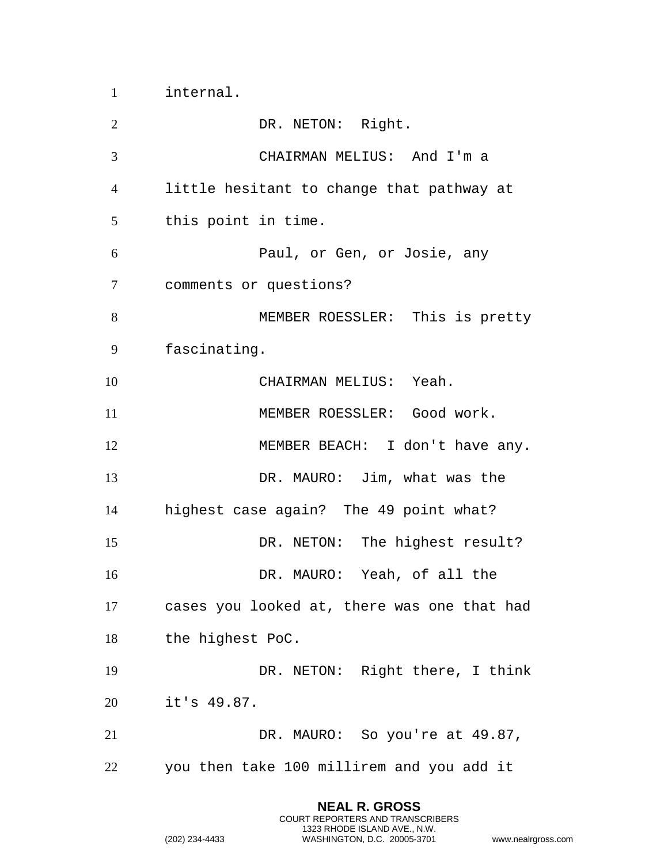internal.

2 DR. NETON: Right. CHAIRMAN MELIUS: And I'm a little hesitant to change that pathway at this point in time. Paul, or Gen, or Josie, any comments or questions? MEMBER ROESSLER: This is pretty fascinating. CHAIRMAN MELIUS: Yeah. 11 MEMBER ROESSLER: Good work. 12 MEMBER BEACH: I don't have any. DR. MAURO: Jim, what was the highest case again? The 49 point what? 15 DR. NETON: The highest result? DR. MAURO: Yeah, of all the cases you looked at, there was one that had the highest PoC. DR. NETON: Right there, I think it's 49.87. DR. MAURO: So you're at 49.87, you then take 100 millirem and you add it

> **NEAL R. GROSS** COURT REPORTERS AND TRANSCRIBERS 1323 RHODE ISLAND AVE., N.W.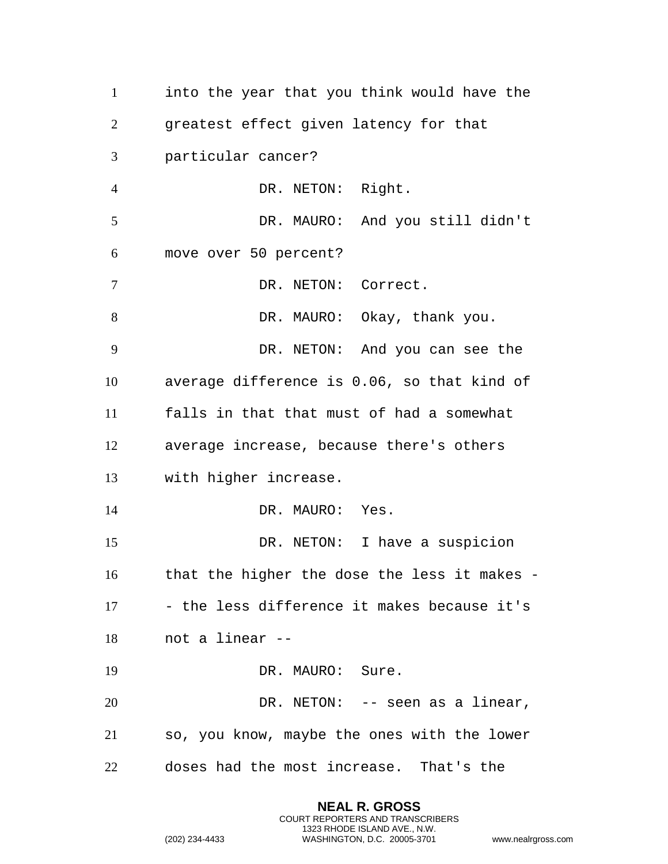into the year that you think would have the greatest effect given latency for that particular cancer? DR. NETON: Right. DR. MAURO: And you still didn't move over 50 percent? DR. NETON: Correct. 8 DR. MAURO: Okay, thank you. DR. NETON: And you can see the average difference is 0.06, so that kind of falls in that that must of had a somewhat average increase, because there's others with higher increase. 14 DR. MAURO: Yes. DR. NETON: I have a suspicion that the higher the dose the less it makes - - the less difference it makes because it's not a linear -- DR. MAURO: Sure. DR. NETON: -- seen as a linear, so, you know, maybe the ones with the lower doses had the most increase. That's the

> **NEAL R. GROSS** COURT REPORTERS AND TRANSCRIBERS 1323 RHODE ISLAND AVE., N.W.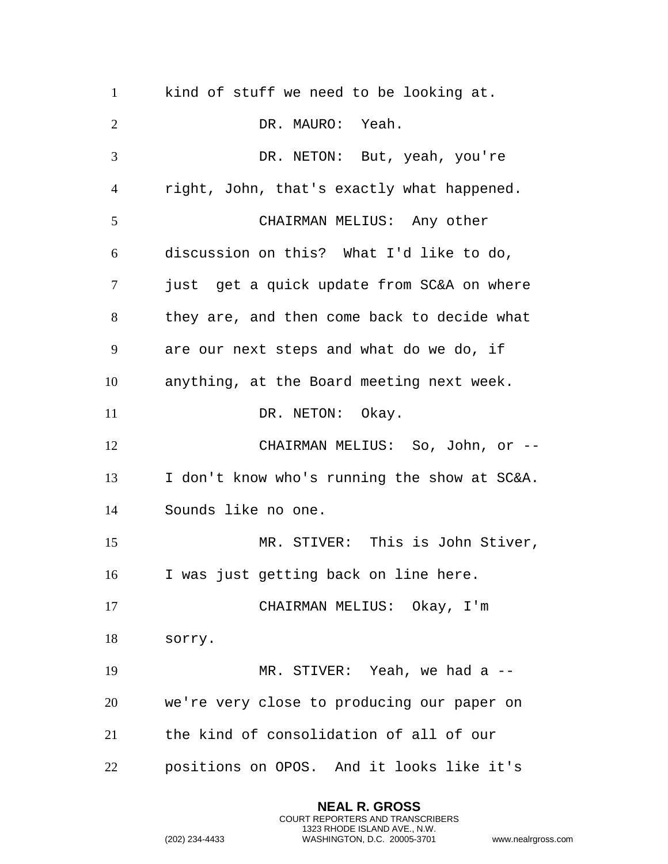kind of stuff we need to be looking at. DR. MAURO: Yeah. DR. NETON: But, yeah, you're right, John, that's exactly what happened. CHAIRMAN MELIUS: Any other discussion on this? What I'd like to do, just get a quick update from SC&A on where they are, and then come back to decide what are our next steps and what do we do, if anything, at the Board meeting next week. 11 DR. NETON: Okay. CHAIRMAN MELIUS: So, John, or -- I don't know who's running the show at SC&A. Sounds like no one. MR. STIVER: This is John Stiver, I was just getting back on line here. CHAIRMAN MELIUS: Okay, I'm sorry. MR. STIVER: Yeah, we had a -- we're very close to producing our paper on the kind of consolidation of all of our positions on OPOS. And it looks like it's

> **NEAL R. GROSS** COURT REPORTERS AND TRANSCRIBERS 1323 RHODE ISLAND AVE., N.W.

```
(202) 234-4433 WASHINGTON, D.C. 20005-3701 www.nealrgross.com
```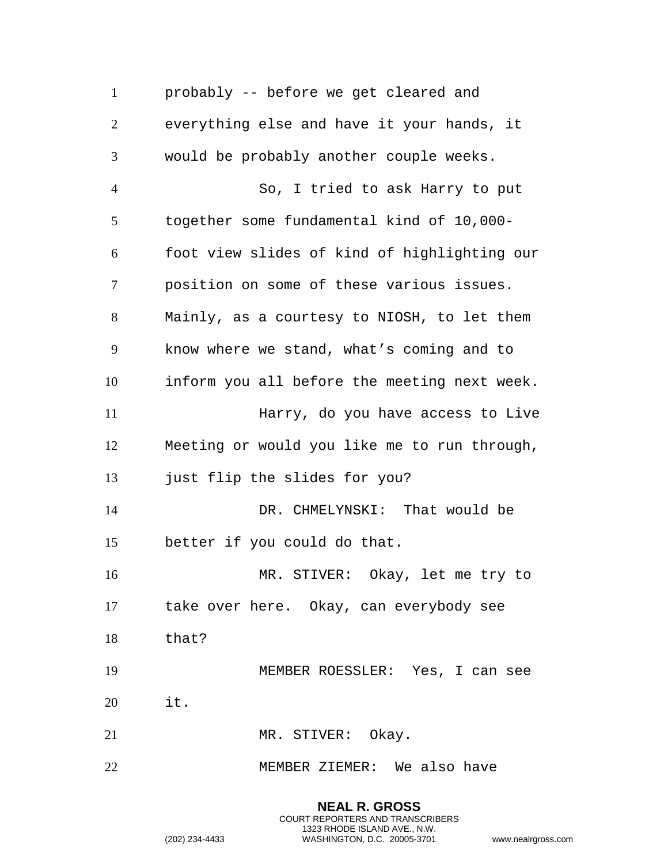probably -- before we get cleared and everything else and have it your hands, it would be probably another couple weeks. So, I tried to ask Harry to put together some fundamental kind of 10,000- foot view slides of kind of highlighting our position on some of these various issues. Mainly, as a courtesy to NIOSH, to let them know where we stand, what's coming and to inform you all before the meeting next week. Harry, do you have access to Live Meeting or would you like me to run through, just flip the slides for you? DR. CHMELYNSKI: That would be better if you could do that. MR. STIVER: Okay, let me try to take over here. Okay, can everybody see that? MEMBER ROESSLER: Yes, I can see it. 21 MR. STIVER: Okay. MEMBER ZIEMER: We also have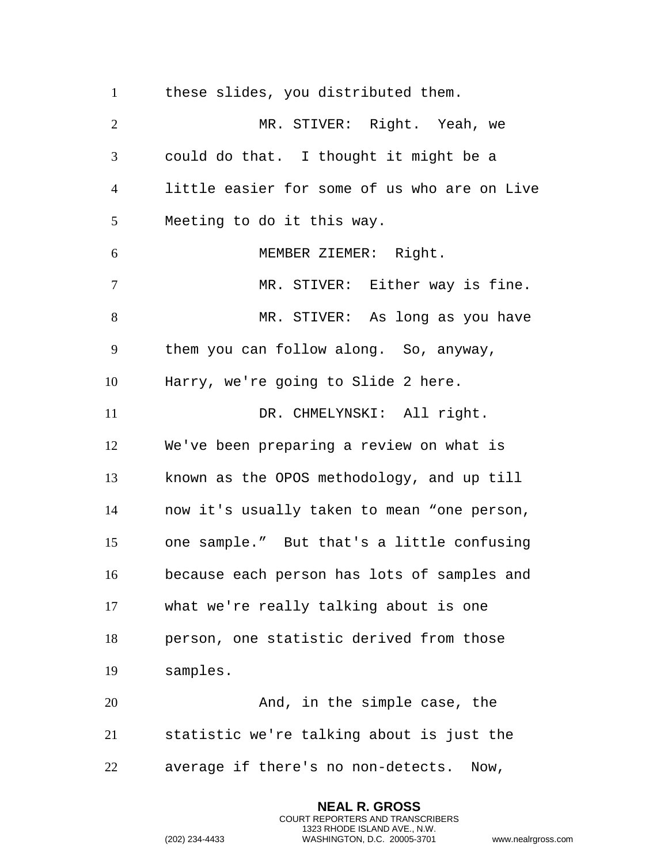these slides, you distributed them. MR. STIVER: Right. Yeah, we could do that. I thought it might be a little easier for some of us who are on Live Meeting to do it this way. MEMBER ZIEMER: Right. MR. STIVER: Either way is fine. MR. STIVER: As long as you have them you can follow along. So, anyway, Harry, we're going to Slide 2 here. 11 DR. CHMELYNSKI: All right. We've been preparing a review on what is known as the OPOS methodology, and up till now it's usually taken to mean "one person, one sample." But that's a little confusing because each person has lots of samples and what we're really talking about is one person, one statistic derived from those samples. 20 And, in the simple case, the statistic we're talking about is just the average if there's no non-detects. Now,

> **NEAL R. GROSS** COURT REPORTERS AND TRANSCRIBERS 1323 RHODE ISLAND AVE., N.W.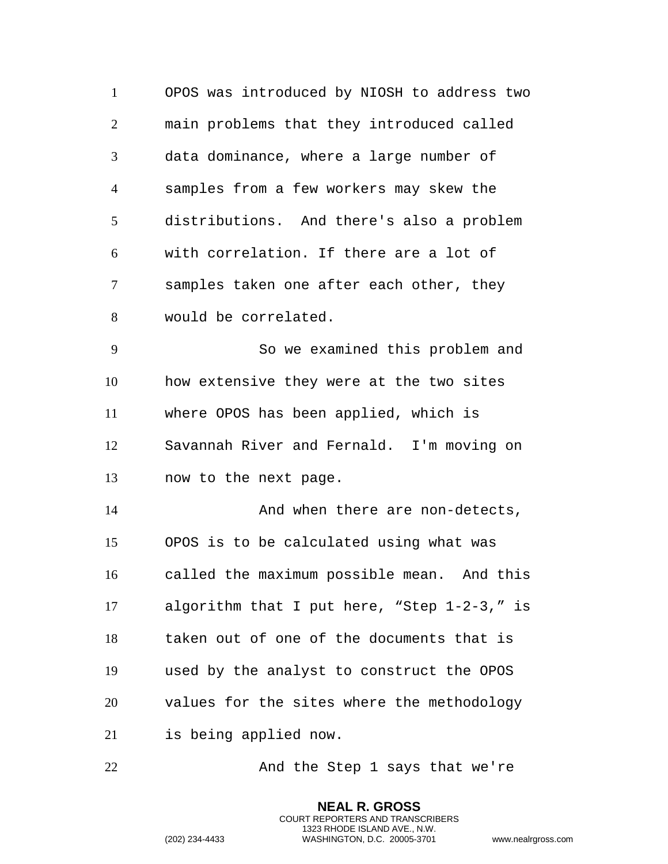OPOS was introduced by NIOSH to address two main problems that they introduced called data dominance, where a large number of samples from a few workers may skew the distributions. And there's also a problem with correlation. If there are a lot of samples taken one after each other, they would be correlated. So we examined this problem and how extensive they were at the two sites where OPOS has been applied, which is Savannah River and Fernald. I'm moving on now to the next page. 14 And when there are non-detects, OPOS is to be calculated using what was called the maximum possible mean. And this algorithm that I put here, "Step 1-2-3," is taken out of one of the documents that is used by the analyst to construct the OPOS values for the sites where the methodology is being applied now.

22 And the Step 1 says that we're

**NEAL R. GROSS** COURT REPORTERS AND TRANSCRIBERS 1323 RHODE ISLAND AVE., N.W.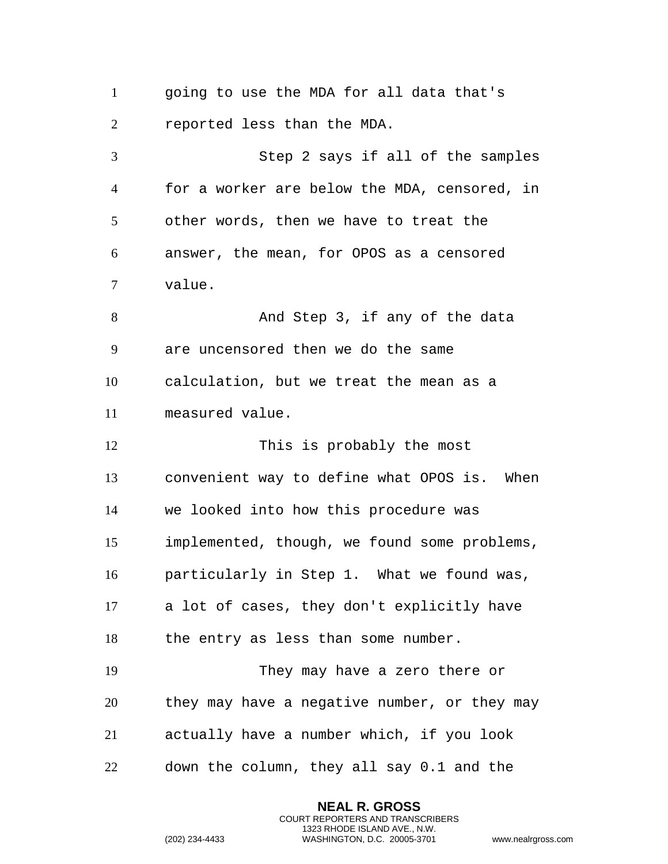going to use the MDA for all data that's reported less than the MDA. Step 2 says if all of the samples for a worker are below the MDA, censored, in other words, then we have to treat the answer, the mean, for OPOS as a censored value. 8 And Step 3, if any of the data are uncensored then we do the same calculation, but we treat the mean as a measured value. 12 This is probably the most convenient way to define what OPOS is. When we looked into how this procedure was implemented, though, we found some problems, particularly in Step 1. What we found was, a lot of cases, they don't explicitly have the entry as less than some number. They may have a zero there or they may have a negative number, or they may actually have a number which, if you look down the column, they all say 0.1 and the

> **NEAL R. GROSS** COURT REPORTERS AND TRANSCRIBERS 1323 RHODE ISLAND AVE., N.W.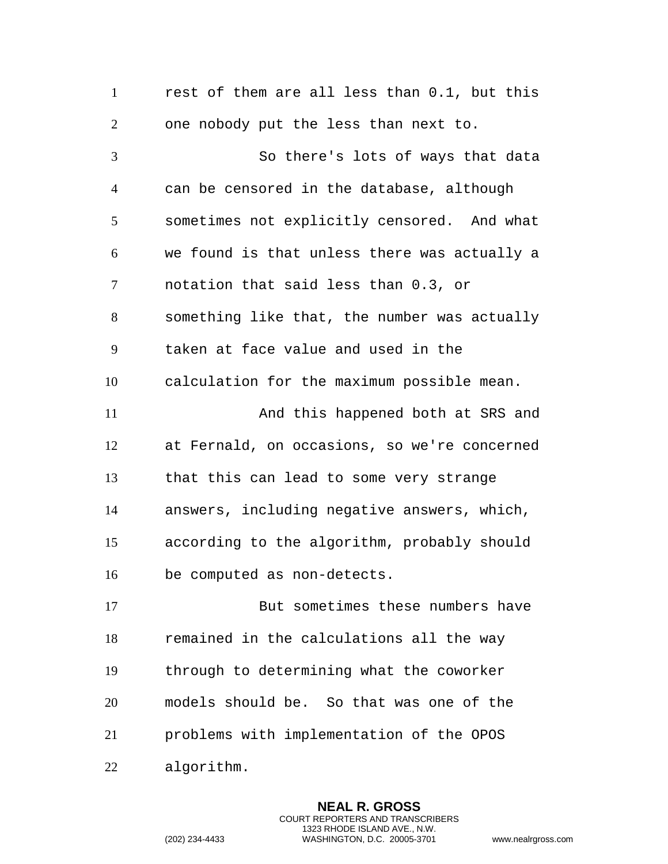rest of them are all less than 0.1, but this one nobody put the less than next to. So there's lots of ways that data can be censored in the database, although sometimes not explicitly censored. And what we found is that unless there was actually a notation that said less than 0.3, or something like that, the number was actually taken at face value and used in the calculation for the maximum possible mean. 11 And this happened both at SRS and at Fernald, on occasions, so we're concerned that this can lead to some very strange answers, including negative answers, which, according to the algorithm, probably should be computed as non-detects. But sometimes these numbers have remained in the calculations all the way through to determining what the coworker models should be. So that was one of the problems with implementation of the OPOS algorithm.

> **NEAL R. GROSS** COURT REPORTERS AND TRANSCRIBERS 1323 RHODE ISLAND AVE., N.W.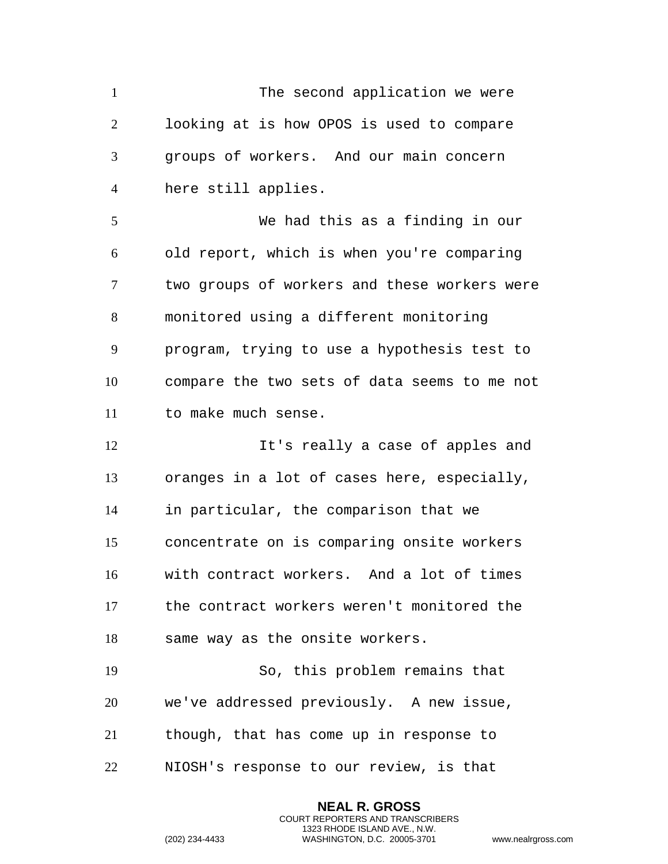1 The second application we were looking at is how OPOS is used to compare groups of workers. And our main concern here still applies.

 We had this as a finding in our old report, which is when you're comparing two groups of workers and these workers were monitored using a different monitoring program, trying to use a hypothesis test to compare the two sets of data seems to me not to make much sense.

 It's really a case of apples and oranges in a lot of cases here, especially, in particular, the comparison that we concentrate on is comparing onsite workers with contract workers. And a lot of times the contract workers weren't monitored the same way as the onsite workers.

 So, this problem remains that we've addressed previously. A new issue, though, that has come up in response to NIOSH's response to our review, is that

> **NEAL R. GROSS** COURT REPORTERS AND TRANSCRIBERS 1323 RHODE ISLAND AVE., N.W.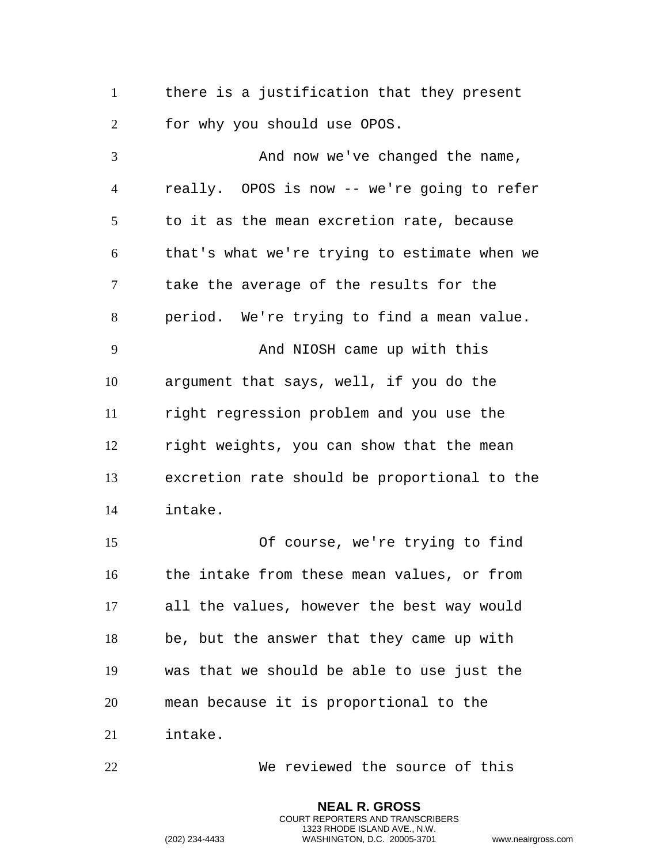there is a justification that they present for why you should use OPOS.

 And now we've changed the name, really. OPOS is now -- we're going to refer to it as the mean excretion rate, because that's what we're trying to estimate when we take the average of the results for the period. We're trying to find a mean value. And NIOSH came up with this argument that says, well, if you do the right regression problem and you use the right weights, you can show that the mean excretion rate should be proportional to the intake. Of course, we're trying to find the intake from these mean values, or from all the values, however the best way would be, but the answer that they came up with was that we should be able to use just the mean because it is proportional to the intake.

We reviewed the source of this

**NEAL R. GROSS** COURT REPORTERS AND TRANSCRIBERS 1323 RHODE ISLAND AVE., N.W.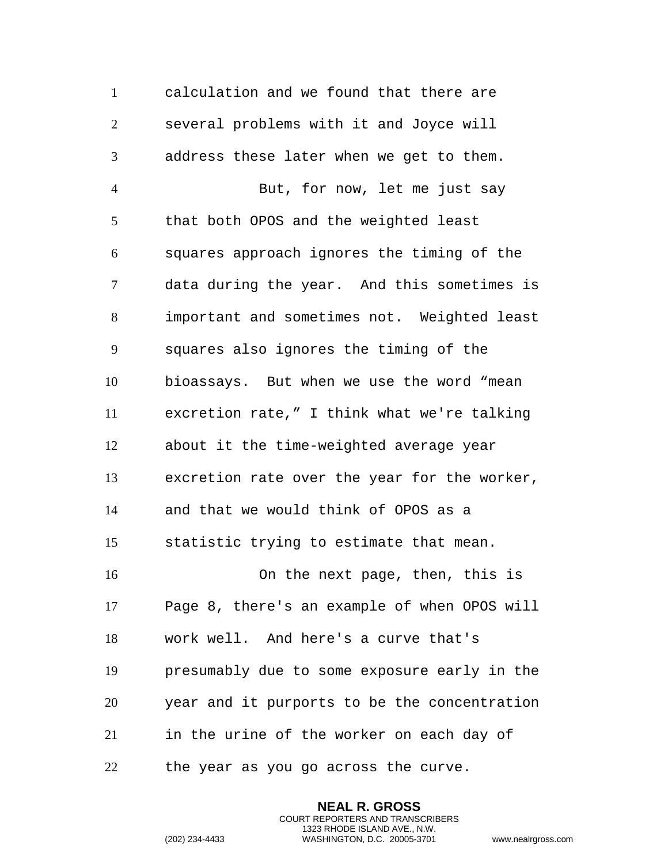calculation and we found that there are several problems with it and Joyce will address these later when we get to them. But, for now, let me just say that both OPOS and the weighted least squares approach ignores the timing of the data during the year. And this sometimes is important and sometimes not. Weighted least squares also ignores the timing of the bioassays. But when we use the word "mean excretion rate," I think what we're talking about it the time-weighted average year excretion rate over the year for the worker, and that we would think of OPOS as a statistic trying to estimate that mean. On the next page, then, this is Page 8, there's an example of when OPOS will work well. And here's a curve that's presumably due to some exposure early in the year and it purports to be the concentration in the urine of the worker on each day of the year as you go across the curve.

> **NEAL R. GROSS** COURT REPORTERS AND TRANSCRIBERS 1323 RHODE ISLAND AVE., N.W.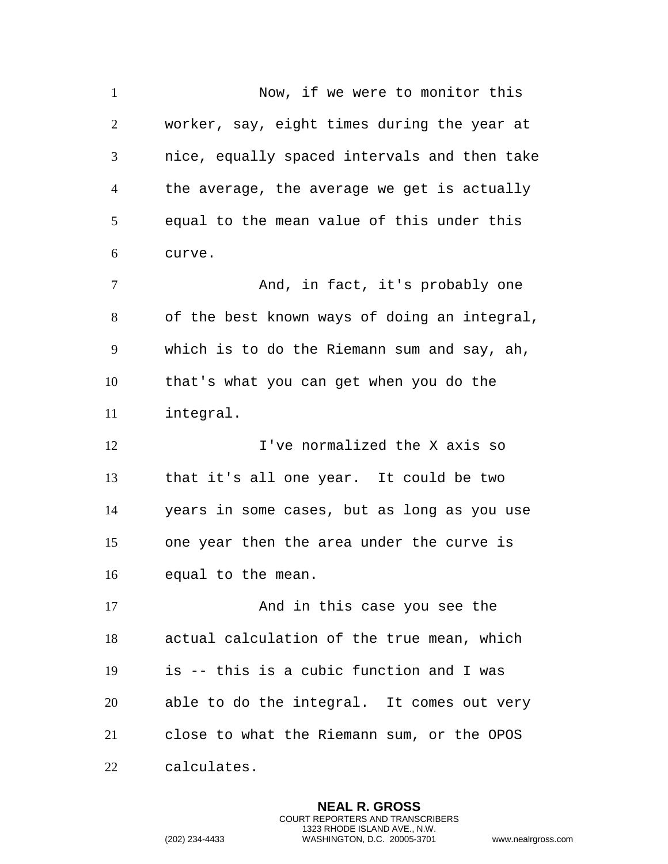Now, if we were to monitor this worker, say, eight times during the year at nice, equally spaced intervals and then take the average, the average we get is actually equal to the mean value of this under this curve. And, in fact, it's probably one of the best known ways of doing an integral, which is to do the Riemann sum and say, ah, that's what you can get when you do the integral. 12 I've normalized the X axis so that it's all one year. It could be two years in some cases, but as long as you use one year then the area under the curve is equal to the mean. 17 And in this case you see the actual calculation of the true mean, which is -- this is a cubic function and I was able to do the integral. It comes out very close to what the Riemann sum, or the OPOS calculates.

> **NEAL R. GROSS** COURT REPORTERS AND TRANSCRIBERS 1323 RHODE ISLAND AVE., N.W.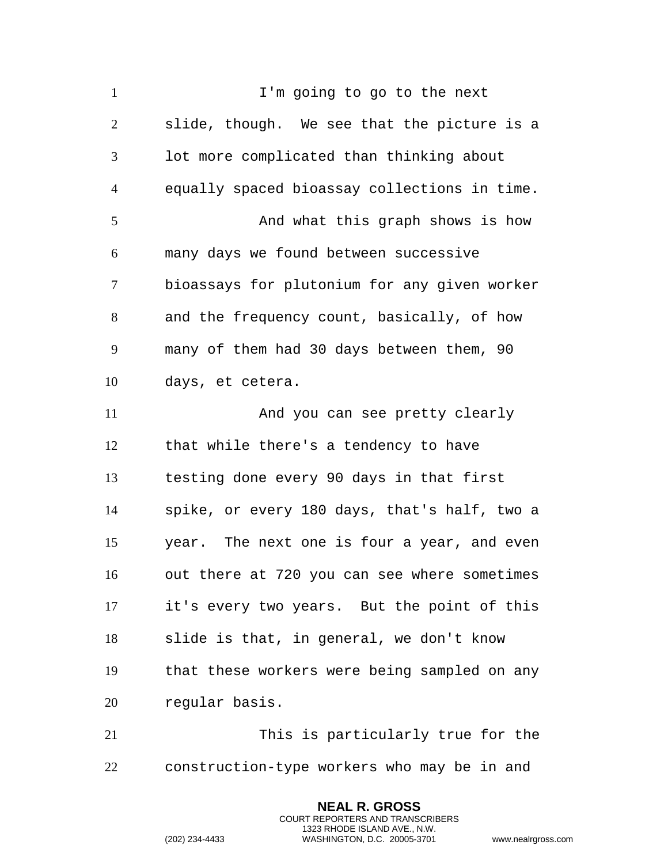1 I'm going to go to the next slide, though. We see that the picture is a lot more complicated than thinking about equally spaced bioassay collections in time. 5 And what this graph shows is how many days we found between successive bioassays for plutonium for any given worker and the frequency count, basically, of how many of them had 30 days between them, 90 days, et cetera. And you can see pretty clearly that while there's a tendency to have testing done every 90 days in that first spike, or every 180 days, that's half, two a year. The next one is four a year, and even out there at 720 you can see where sometimes it's every two years. But the point of this slide is that, in general, we don't know that these workers were being sampled on any regular basis. This is particularly true for the

construction-type workers who may be in and

**NEAL R. GROSS** COURT REPORTERS AND TRANSCRIBERS 1323 RHODE ISLAND AVE., N.W.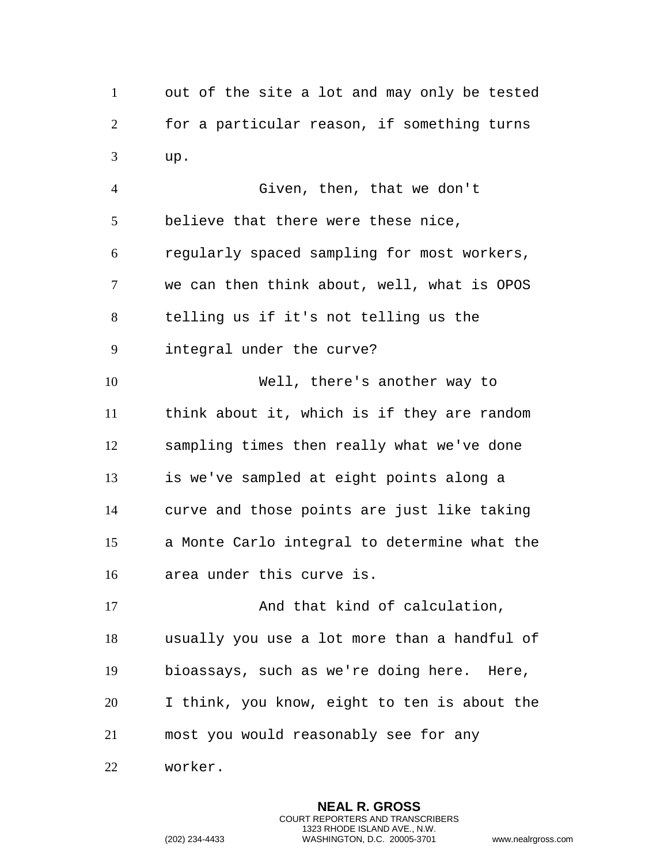out of the site a lot and may only be tested for a particular reason, if something turns up.

 Given, then, that we don't believe that there were these nice, regularly spaced sampling for most workers, we can then think about, well, what is OPOS telling us if it's not telling us the integral under the curve? Well, there's another way to think about it, which is if they are random sampling times then really what we've done is we've sampled at eight points along a curve and those points are just like taking a Monte Carlo integral to determine what the area under this curve is. 17 And that kind of calculation, usually you use a lot more than a handful of bioassays, such as we're doing here. Here, I think, you know, eight to ten is about the

most you would reasonably see for any

worker.

**NEAL R. GROSS** COURT REPORTERS AND TRANSCRIBERS 1323 RHODE ISLAND AVE., N.W. (202) 234-4433 WASHINGTON, D.C. 20005-3701 www.nealrgross.com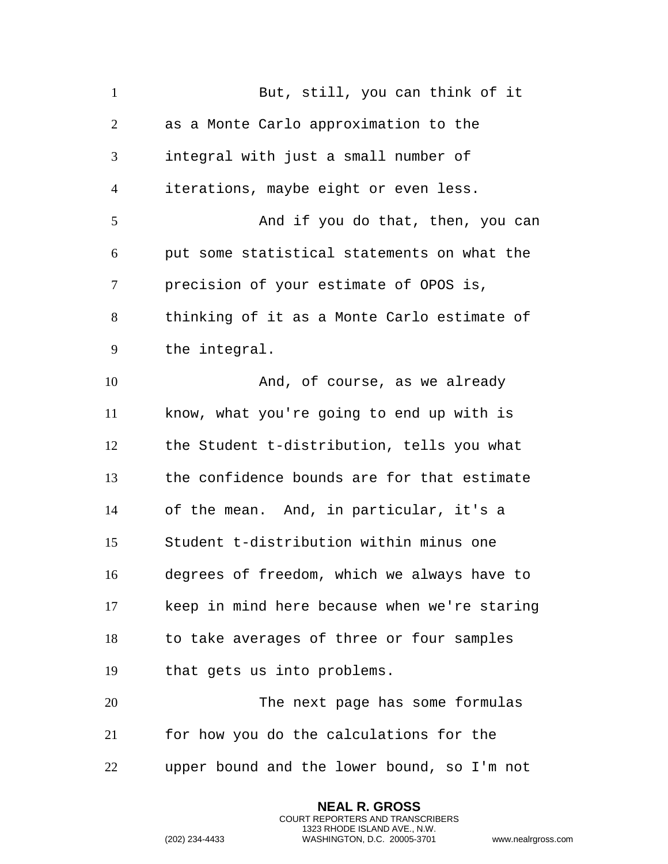| $\mathbf{1}$   | But, still, you can think of it              |
|----------------|----------------------------------------------|
| 2              | as a Monte Carlo approximation to the        |
| 3              | integral with just a small number of         |
| $\overline{4}$ | iterations, maybe eight or even less.        |
| 5              | And if you do that, then, you can            |
| 6              | put some statistical statements on what the  |
| 7              | precision of your estimate of OPOS is,       |
| 8              | thinking of it as a Monte Carlo estimate of  |
| 9              | the integral.                                |
| 10             | And, of course, as we already                |
| 11             | know, what you're going to end up with is    |
| 12             | the Student t-distribution, tells you what   |
| 13             | the confidence bounds are for that estimate  |
| 14             | of the mean. And, in particular, it's a      |
| 15             | Student t-distribution within minus one      |
| 16             | degrees of freedom, which we always have to  |
| 17             | keep in mind here because when we're staring |
| 18             | to take averages of three or four samples    |
| 19             | that gets us into problems.                  |
| 20             | The next page has some formulas              |
| 21             | for how you do the calculations for the      |
| 22             | upper bound and the lower bound, so I'm not  |

**NEAL R. GROSS** COURT REPORTERS AND TRANSCRIBERS 1323 RHODE ISLAND AVE., N.W.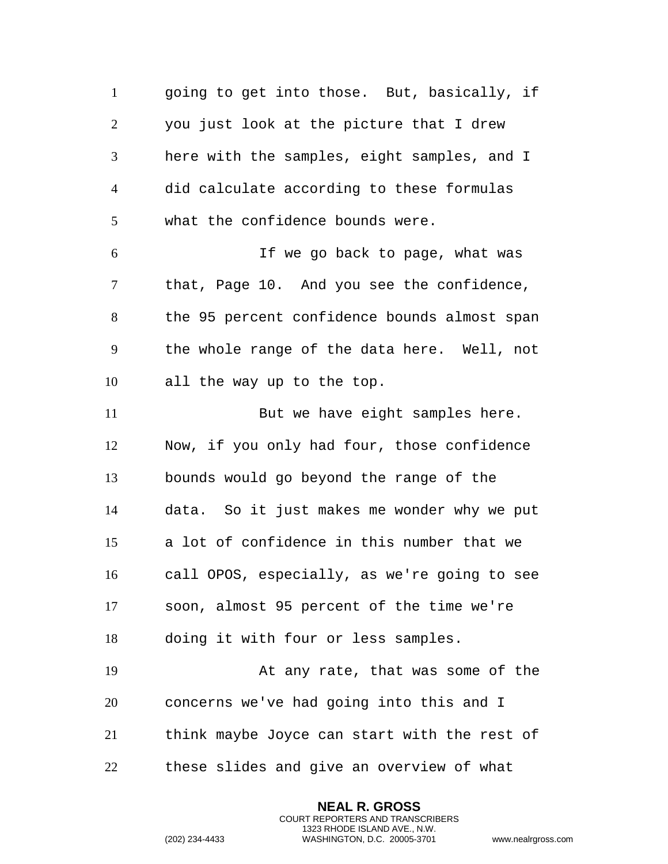going to get into those. But, basically, if you just look at the picture that I drew here with the samples, eight samples, and I did calculate according to these formulas what the confidence bounds were. If we go back to page, what was 7 that, Page 10. And you see the confidence, the 95 percent confidence bounds almost span the whole range of the data here. Well, not all the way up to the top. 11 But we have eight samples here. Now, if you only had four, those confidence bounds would go beyond the range of the data. So it just makes me wonder why we put a lot of confidence in this number that we call OPOS, especially, as we're going to see soon, almost 95 percent of the time we're doing it with four or less samples. At any rate, that was some of the concerns we've had going into this and I think maybe Joyce can start with the rest of these slides and give an overview of what

> **NEAL R. GROSS** COURT REPORTERS AND TRANSCRIBERS 1323 RHODE ISLAND AVE., N.W.

```
(202) 234-4433 WASHINGTON, D.C. 20005-3701 www.nealrgross.com
```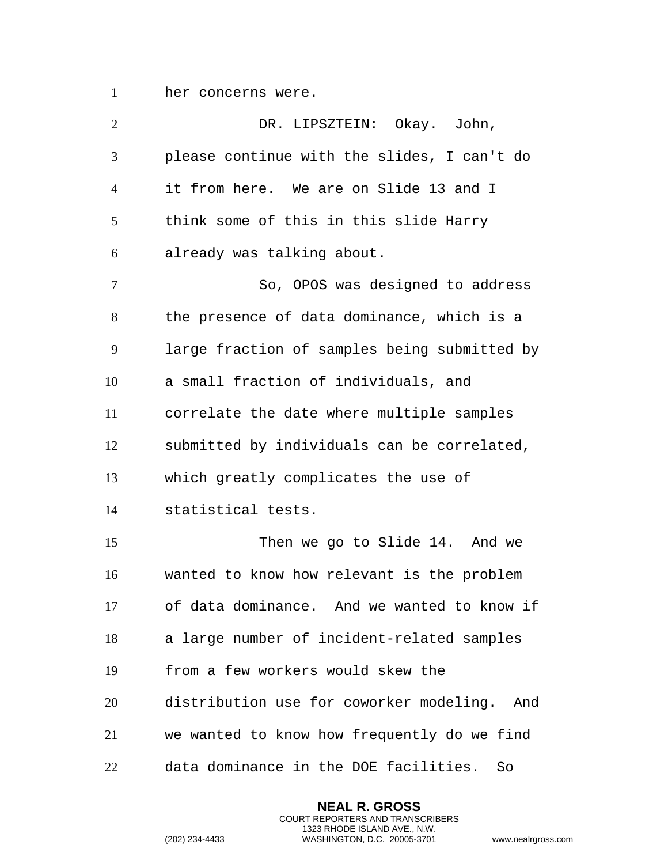her concerns were.

| $\overline{2}$ | DR. LIPSZTEIN: Okay. John,                   |
|----------------|----------------------------------------------|
| 3              | please continue with the slides, I can't do  |
| $\overline{4}$ | it from here. We are on Slide 13 and I       |
| 5              | think some of this in this slide Harry       |
| 6              | already was talking about.                   |
| 7              | So, OPOS was designed to address             |
| 8              | the presence of data dominance, which is a   |
| 9              | large fraction of samples being submitted by |
| 10             | a small fraction of individuals, and         |
| 11             | correlate the date where multiple samples    |
| 12             | submitted by individuals can be correlated,  |
| 13             | which greatly complicates the use of         |
| 14             | statistical tests.                           |
| 15             | Then we go to Slide 14. And we               |
| 16             | wanted to know how relevant is the problem   |
| 17             | of data dominance. And we wanted to know if  |
| 18             | a large number of incident-related samples   |
| 19             | from a few workers would skew the            |
| 20             | distribution use for coworker modeling. And  |
| 21             | we wanted to know how frequently do we find  |
| 22             | data dominance in the DOE facilities.<br>So  |

**NEAL R. GROSS** COURT REPORTERS AND TRANSCRIBERS 1323 RHODE ISLAND AVE., N.W.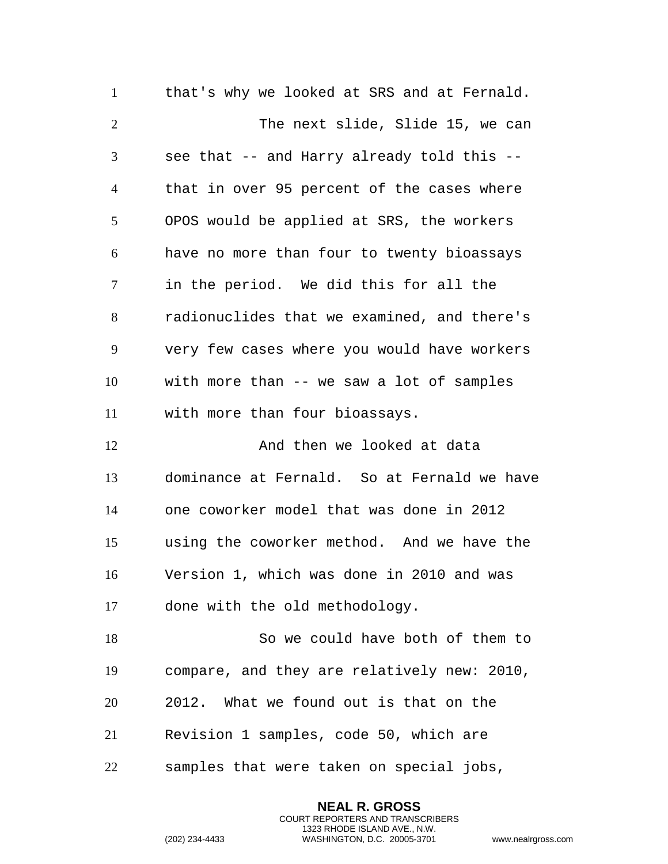that's why we looked at SRS and at Fernald. 2 The next slide, Slide 15, we can see that -- and Harry already told this -- that in over 95 percent of the cases where OPOS would be applied at SRS, the workers have no more than four to twenty bioassays in the period. We did this for all the radionuclides that we examined, and there's very few cases where you would have workers with more than -- we saw a lot of samples with more than four bioassays. 12 And then we looked at data dominance at Fernald. So at Fernald we have one coworker model that was done in 2012 using the coworker method. And we have the Version 1, which was done in 2010 and was done with the old methodology. So we could have both of them to compare, and they are relatively new: 2010, 2012. What we found out is that on the Revision 1 samples, code 50, which are samples that were taken on special jobs,

> **NEAL R. GROSS** COURT REPORTERS AND TRANSCRIBERS 1323 RHODE ISLAND AVE., N.W.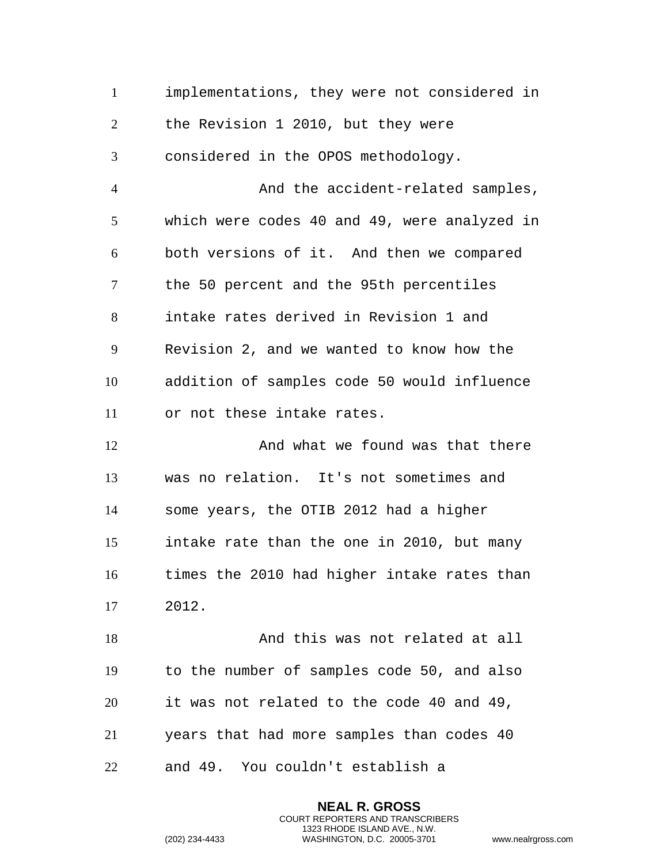implementations, they were not considered in the Revision 1 2010, but they were considered in the OPOS methodology. And the accident-related samples, which were codes 40 and 49, were analyzed in both versions of it. And then we compared the 50 percent and the 95th percentiles intake rates derived in Revision 1 and Revision 2, and we wanted to know how the addition of samples code 50 would influence or not these intake rates. 12 And what we found was that there was no relation. It's not sometimes and some years, the OTIB 2012 had a higher intake rate than the one in 2010, but many times the 2010 had higher intake rates than 2012. 18 And this was not related at all to the number of samples code 50, and also it was not related to the code 40 and 49, years that had more samples than codes 40 and 49. You couldn't establish a

> **NEAL R. GROSS** COURT REPORTERS AND TRANSCRIBERS 1323 RHODE ISLAND AVE., N.W.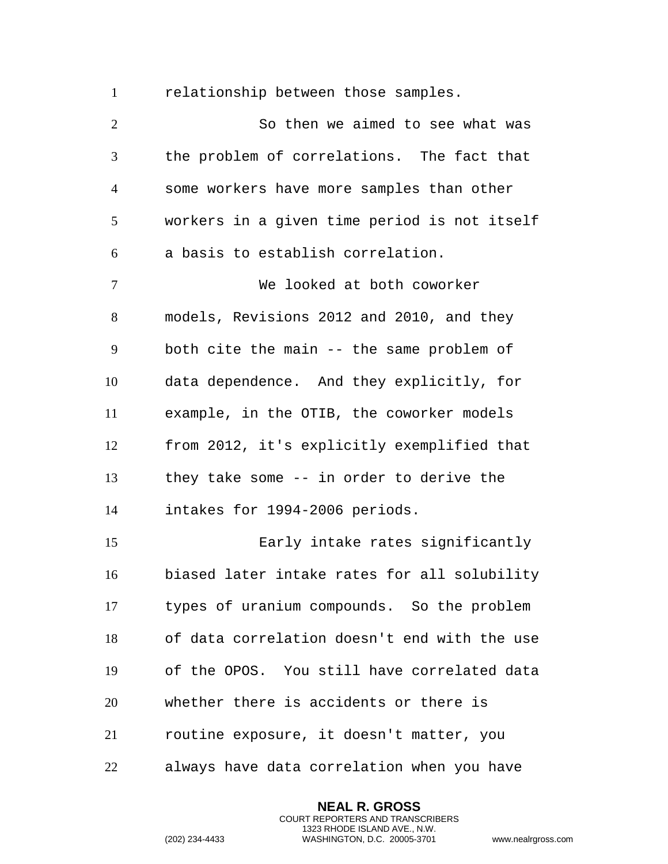relationship between those samples.

 So then we aimed to see what was the problem of correlations. The fact that some workers have more samples than other workers in a given time period is not itself a basis to establish correlation. We looked at both coworker models, Revisions 2012 and 2010, and they both cite the main -- the same problem of data dependence. And they explicitly, for example, in the OTIB, the coworker models from 2012, it's explicitly exemplified that they take some -- in order to derive the intakes for 1994-2006 periods. Early intake rates significantly biased later intake rates for all solubility types of uranium compounds. So the problem of data correlation doesn't end with the use of the OPOS. You still have correlated data whether there is accidents or there is routine exposure, it doesn't matter, you always have data correlation when you have

> **NEAL R. GROSS** COURT REPORTERS AND TRANSCRIBERS 1323 RHODE ISLAND AVE., N.W.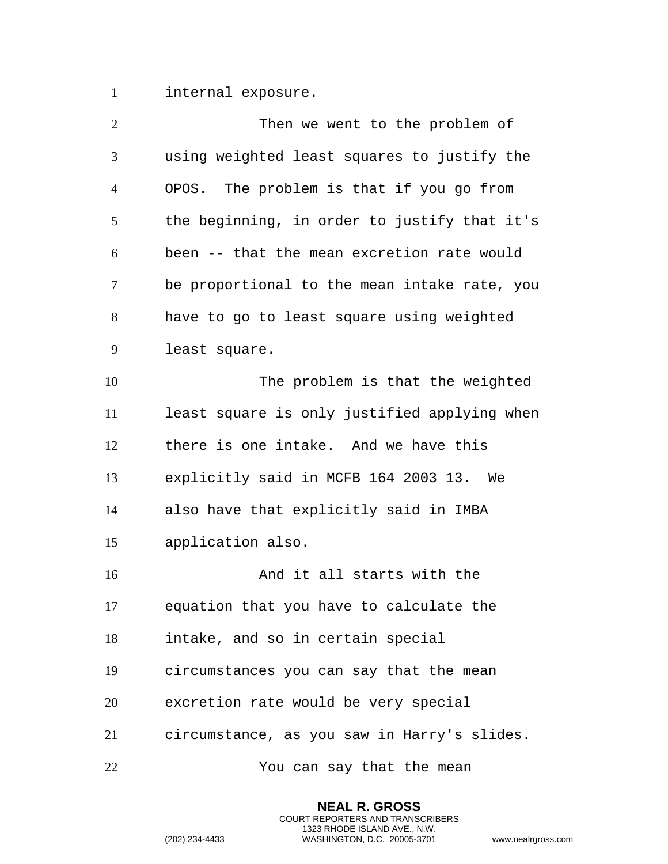internal exposure.

| $\overline{2}$ | Then we went to the problem of               |
|----------------|----------------------------------------------|
| 3              | using weighted least squares to justify the  |
| $\overline{4}$ | OPOS. The problem is that if you go from     |
| 5              | the beginning, in order to justify that it's |
| 6              | been -- that the mean excretion rate would   |
| $\overline{7}$ | be proportional to the mean intake rate, you |
| 8              | have to go to least square using weighted    |
| 9              | least square.                                |
| 10             | The problem is that the weighted             |
| 11             | least square is only justified applying when |
| 12             | there is one intake. And we have this        |
| 13             | explicitly said in MCFB 164 2003 13. We      |
| 14             | also have that explicitly said in IMBA       |
| 15             | application also.                            |
| 16             | And it all starts with the                   |
| 17             | equation that you have to calculate the      |
| 18             | intake, and so in certain special            |
| 19             | circumstances you can say that the mean      |
| 20             | excretion rate would be very special         |
| 21             | circumstance, as you saw in Harry's slides.  |
| 22             | You can say that the mean                    |

**NEAL R. GROSS** COURT REPORTERS AND TRANSCRIBERS 1323 RHODE ISLAND AVE., N.W.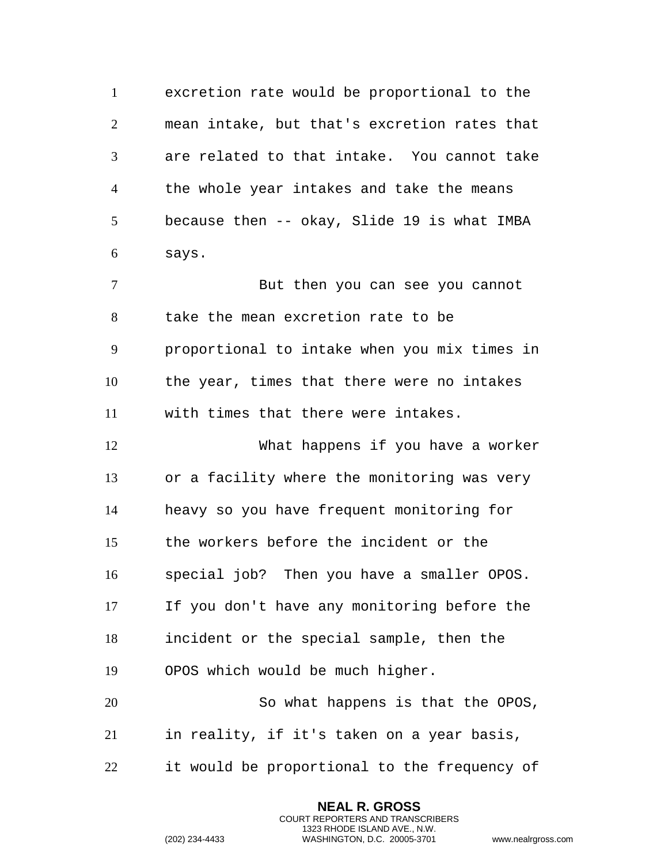excretion rate would be proportional to the mean intake, but that's excretion rates that are related to that intake. You cannot take the whole year intakes and take the means because then -- okay, Slide 19 is what IMBA says.

 But then you can see you cannot take the mean excretion rate to be proportional to intake when you mix times in the year, times that there were no intakes with times that there were intakes.

 What happens if you have a worker or a facility where the monitoring was very heavy so you have frequent monitoring for the workers before the incident or the special job? Then you have a smaller OPOS. If you don't have any monitoring before the incident or the special sample, then the OPOS which would be much higher.

 So what happens is that the OPOS, in reality, if it's taken on a year basis,

it would be proportional to the frequency of

**NEAL R. GROSS** COURT REPORTERS AND TRANSCRIBERS 1323 RHODE ISLAND AVE., N.W.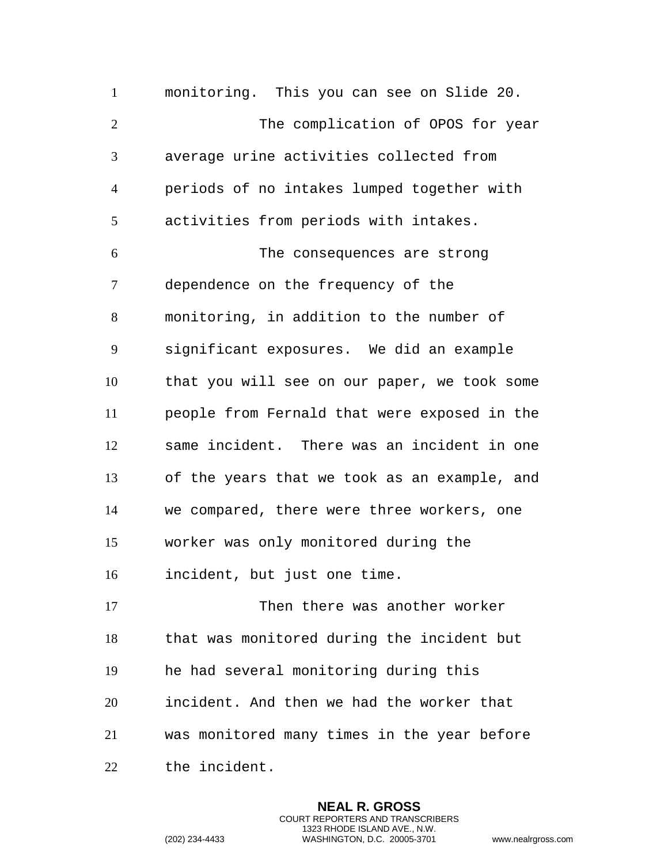monitoring. This you can see on Slide 20. The complication of OPOS for year average urine activities collected from periods of no intakes lumped together with activities from periods with intakes. The consequences are strong dependence on the frequency of the monitoring, in addition to the number of significant exposures. We did an example that you will see on our paper, we took some people from Fernald that were exposed in the same incident. There was an incident in one of the years that we took as an example, and we compared, there were three workers, one worker was only monitored during the incident, but just one time. 17 Then there was another worker that was monitored during the incident but he had several monitoring during this incident. And then we had the worker that was monitored many times in the year before the incident.

> **NEAL R. GROSS** COURT REPORTERS AND TRANSCRIBERS 1323 RHODE ISLAND AVE., N.W.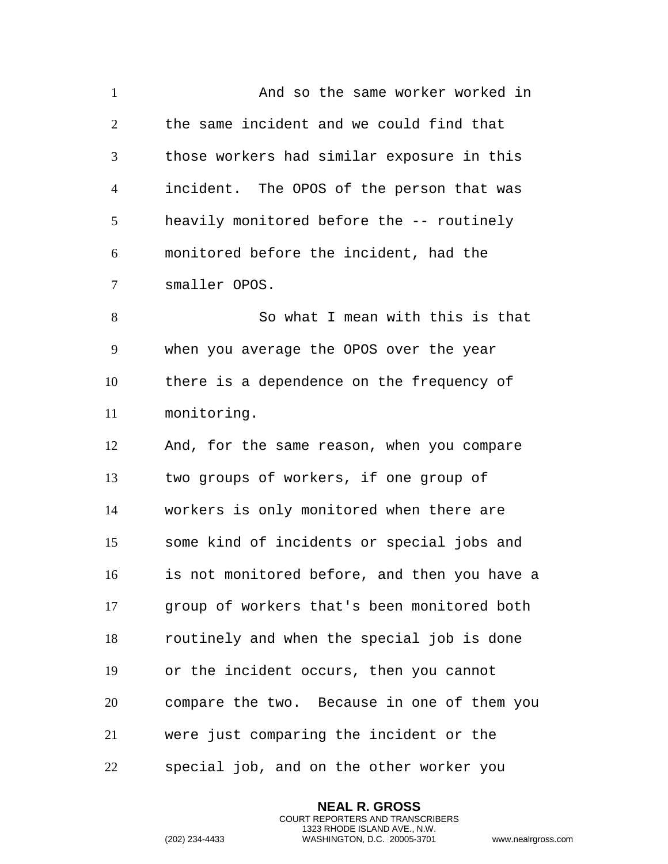And so the same worker worked in the same incident and we could find that those workers had similar exposure in this incident. The OPOS of the person that was heavily monitored before the -- routinely monitored before the incident, had the smaller OPOS. So what I mean with this is that when you average the OPOS over the year there is a dependence on the frequency of monitoring. And, for the same reason, when you compare two groups of workers, if one group of workers is only monitored when there are some kind of incidents or special jobs and is not monitored before, and then you have a group of workers that's been monitored both routinely and when the special job is done or the incident occurs, then you cannot compare the two. Because in one of them you were just comparing the incident or the special job, and on the other worker you

> **NEAL R. GROSS** COURT REPORTERS AND TRANSCRIBERS 1323 RHODE ISLAND AVE., N.W.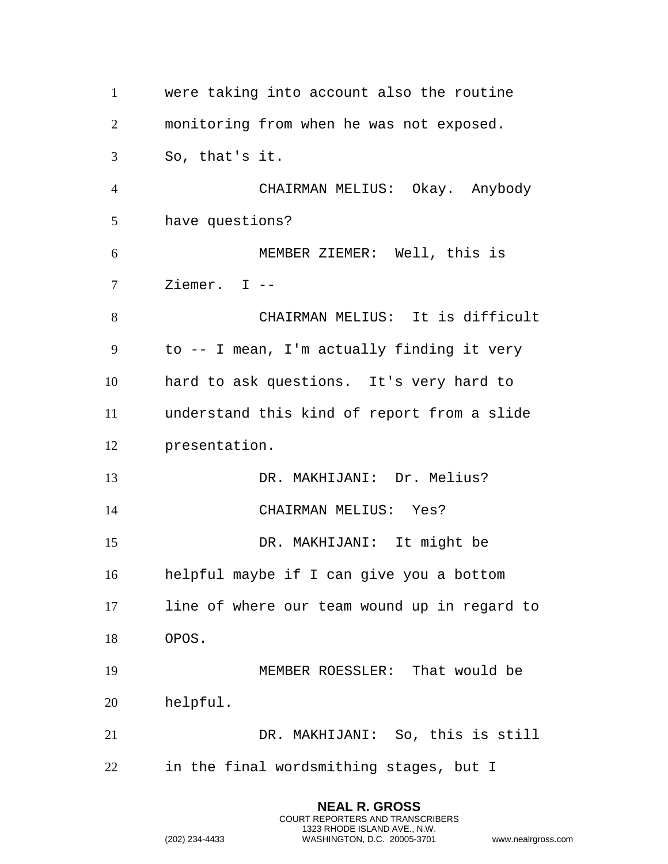| $\mathbf{1}$   |                 | were taking into account also the routine    |
|----------------|-----------------|----------------------------------------------|
| $\overline{2}$ |                 | monitoring from when he was not exposed.     |
| 3              | So, that's it.  |                                              |
| $\overline{4}$ |                 | CHAIRMAN MELIUS: Okay. Anybody               |
| 5              | have questions? |                                              |
| 6              |                 | MEMBER ZIEMER: Well, this is                 |
| $\tau$         | Ziemer. $I$ --  |                                              |
| 8              |                 | CHAIRMAN MELIUS: It is difficult             |
| 9              |                 | to -- I mean, I'm actually finding it very   |
| 10             |                 | hard to ask questions. It's very hard to     |
| 11             |                 | understand this kind of report from a slide  |
| 12             | presentation.   |                                              |
|                |                 |                                              |
| 13             |                 | DR. MAKHIJANI: Dr. Melius?                   |
| 14             |                 | CHAIRMAN MELIUS: Yes?                        |
| 15             |                 | DR. MAKHIJANI: It might be                   |
| 16             |                 | helpful maybe if I can give you a bottom     |
| 17             |                 | line of where our team wound up in regard to |
| 18             | OPOS.           |                                              |
| 19             |                 | MEMBER ROESSLER: That would be               |
| 20             | helpful.        |                                              |
| 21             |                 | DR. MAKHIJANI: So, this is still             |

**NEAL R. GROSS** COURT REPORTERS AND TRANSCRIBERS 1323 RHODE ISLAND AVE., N.W.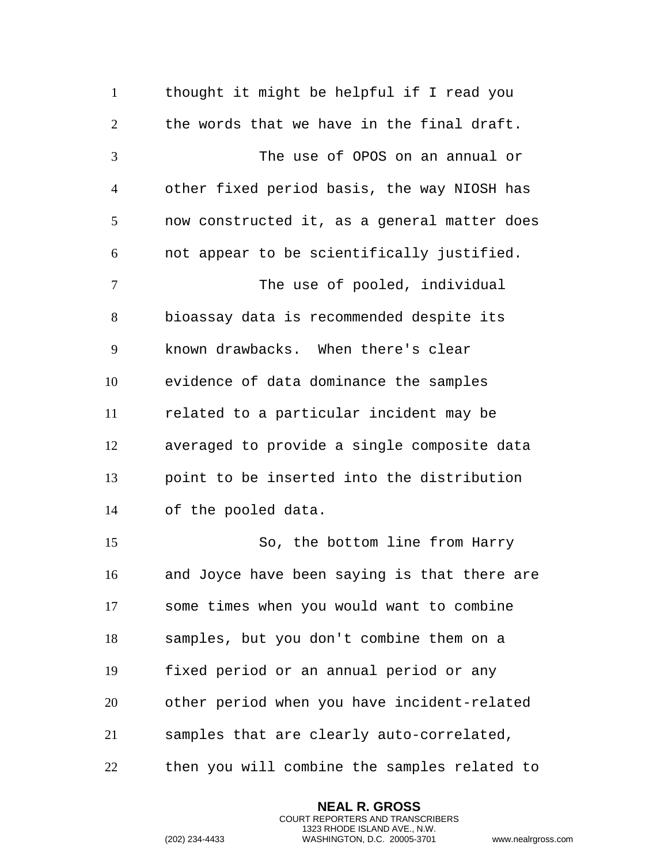thought it might be helpful if I read you the words that we have in the final draft. The use of OPOS on an annual or other fixed period basis, the way NIOSH has now constructed it, as a general matter does not appear to be scientifically justified. 7 The use of pooled, individual bioassay data is recommended despite its known drawbacks. When there's clear evidence of data dominance the samples related to a particular incident may be averaged to provide a single composite data point to be inserted into the distribution of the pooled data. So, the bottom line from Harry and Joyce have been saying is that there are some times when you would want to combine samples, but you don't combine them on a fixed period or an annual period or any other period when you have incident-related samples that are clearly auto-correlated, then you will combine the samples related to

> **NEAL R. GROSS** COURT REPORTERS AND TRANSCRIBERS 1323 RHODE ISLAND AVE., N.W.

```
(202) 234-4433 WASHINGTON, D.C. 20005-3701 www.nealrgross.com
```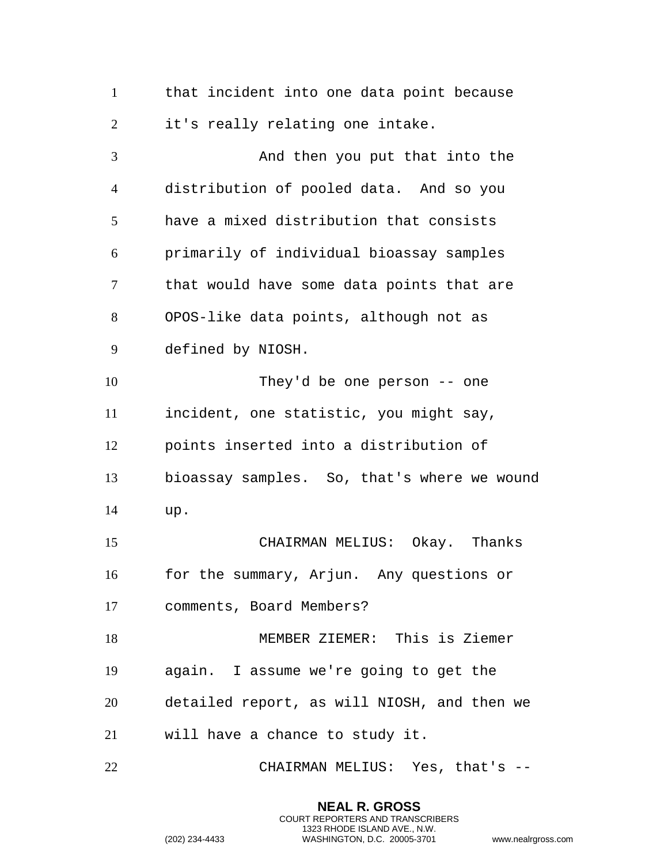|  | that incident into one data point because |  |  |  |
|--|-------------------------------------------|--|--|--|
|  | it's really relating one intake.          |  |  |  |

 And then you put that into the distribution of pooled data. And so you have a mixed distribution that consists primarily of individual bioassay samples that would have some data points that are OPOS-like data points, although not as defined by NIOSH. They'd be one person -- one incident, one statistic, you might say, points inserted into a distribution of bioassay samples. So, that's where we wound up. CHAIRMAN MELIUS: Okay. Thanks for the summary, Arjun. Any questions or comments, Board Members? MEMBER ZIEMER: This is Ziemer again. I assume we're going to get the detailed report, as will NIOSH, and then we will have a chance to study it. CHAIRMAN MELIUS: Yes, that's --

**NEAL R. GROSS**

COURT REPORTERS AND TRANSCRIBERS 1323 RHODE ISLAND AVE., N.W.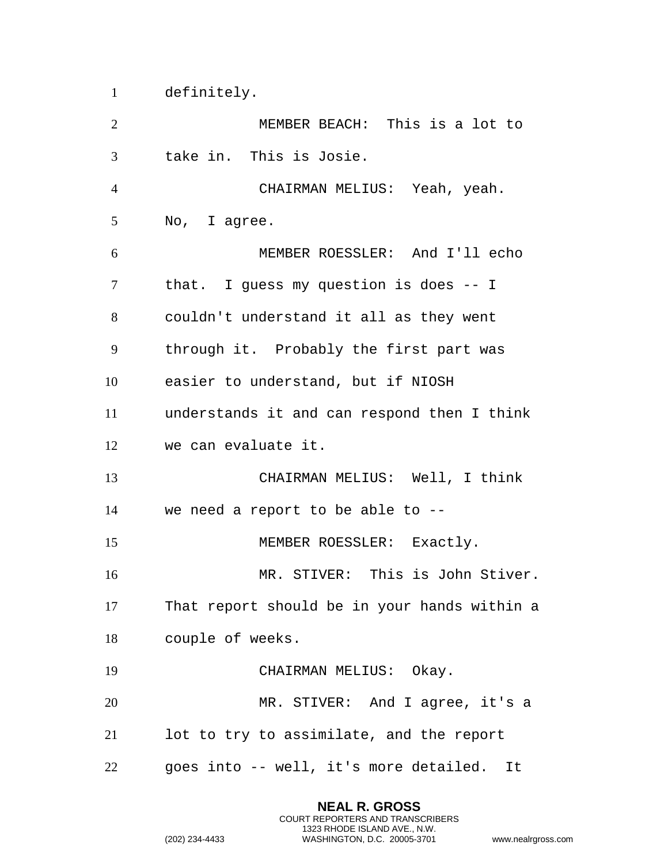definitely.

 MEMBER BEACH: This is a lot to take in. This is Josie. CHAIRMAN MELIUS: Yeah, yeah. No, I agree. MEMBER ROESSLER: And I'll echo that. I guess my question is does -- I couldn't understand it all as they went through it. Probably the first part was easier to understand, but if NIOSH understands it and can respond then I think we can evaluate it. CHAIRMAN MELIUS: Well, I think we need a report to be able to -- 15 MEMBER ROESSLER: Exactly. MR. STIVER: This is John Stiver. That report should be in your hands within a couple of weeks. 19 CHAIRMAN MELIUS: Okay. MR. STIVER: And I agree, it's a lot to try to assimilate, and the report goes into -- well, it's more detailed. It

> **NEAL R. GROSS** COURT REPORTERS AND TRANSCRIBERS 1323 RHODE ISLAND AVE., N.W.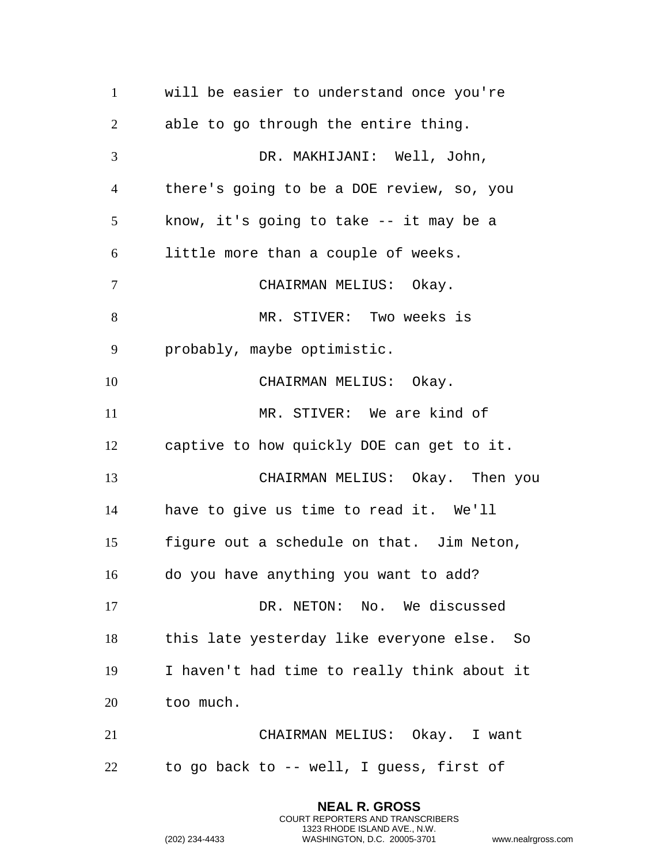will be easier to understand once you're able to go through the entire thing. DR. MAKHIJANI: Well, John, there's going to be a DOE review, so, you know, it's going to take -- it may be a little more than a couple of weeks. CHAIRMAN MELIUS: Okay. 8 MR. STIVER: Two weeks is probably, maybe optimistic. 10 CHAIRMAN MELIUS: Okay. MR. STIVER: We are kind of captive to how quickly DOE can get to it. CHAIRMAN MELIUS: Okay. Then you have to give us time to read it. We'll figure out a schedule on that. Jim Neton, do you have anything you want to add? 17 DR. NETON: No. We discussed this late yesterday like everyone else. So I haven't had time to really think about it too much. CHAIRMAN MELIUS: Okay. I want to go back to -- well, I guess, first of

> **NEAL R. GROSS** COURT REPORTERS AND TRANSCRIBERS 1323 RHODE ISLAND AVE., N.W.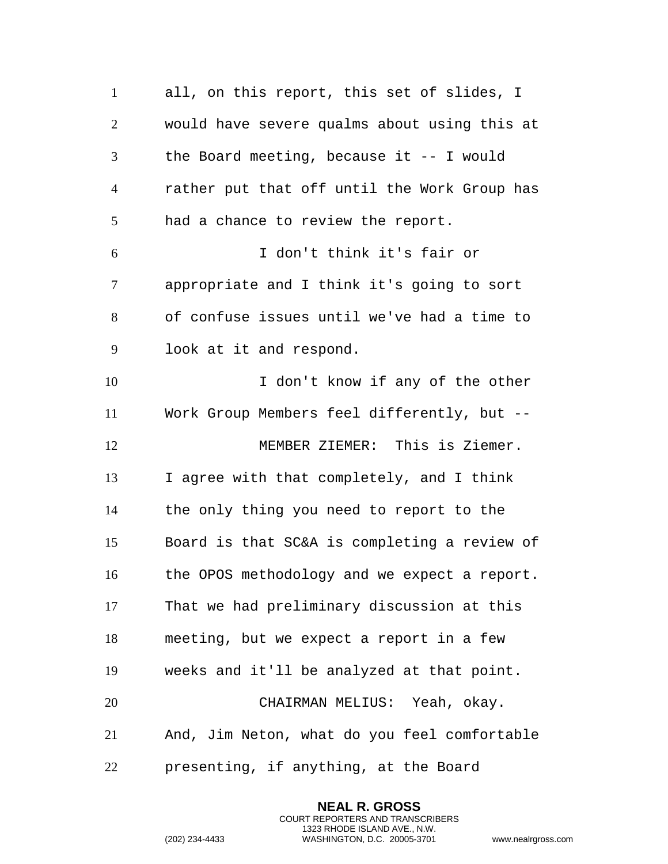all, on this report, this set of slides, I would have severe qualms about using this at the Board meeting, because it -- I would rather put that off until the Work Group has had a chance to review the report. I don't think it's fair or appropriate and I think it's going to sort of confuse issues until we've had a time to look at it and respond. I don't know if any of the other Work Group Members feel differently, but -- MEMBER ZIEMER: This is Ziemer. I agree with that completely, and I think the only thing you need to report to the Board is that SC&A is completing a review of the OPOS methodology and we expect a report. That we had preliminary discussion at this meeting, but we expect a report in a few weeks and it'll be analyzed at that point. CHAIRMAN MELIUS: Yeah, okay. And, Jim Neton, what do you feel comfortable presenting, if anything, at the Board

> **NEAL R. GROSS** COURT REPORTERS AND TRANSCRIBERS 1323 RHODE ISLAND AVE., N.W.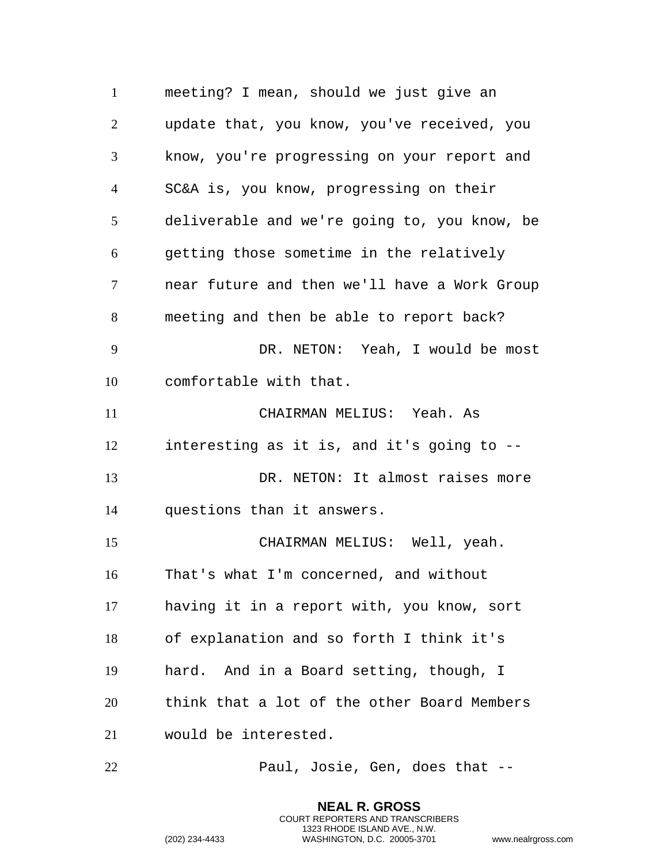meeting? I mean, should we just give an update that, you know, you've received, you know, you're progressing on your report and SC&A is, you know, progressing on their deliverable and we're going to, you know, be getting those sometime in the relatively near future and then we'll have a Work Group meeting and then be able to report back? DR. NETON: Yeah, I would be most comfortable with that. CHAIRMAN MELIUS: Yeah. As interesting as it is, and it's going to -- DR. NETON: It almost raises more questions than it answers. CHAIRMAN MELIUS: Well, yeah. That's what I'm concerned, and without having it in a report with, you know, sort of explanation and so forth I think it's hard. And in a Board setting, though, I think that a lot of the other Board Members would be interested.

Paul, Josie, Gen, does that --

**NEAL R. GROSS** COURT REPORTERS AND TRANSCRIBERS 1323 RHODE ISLAND AVE., N.W.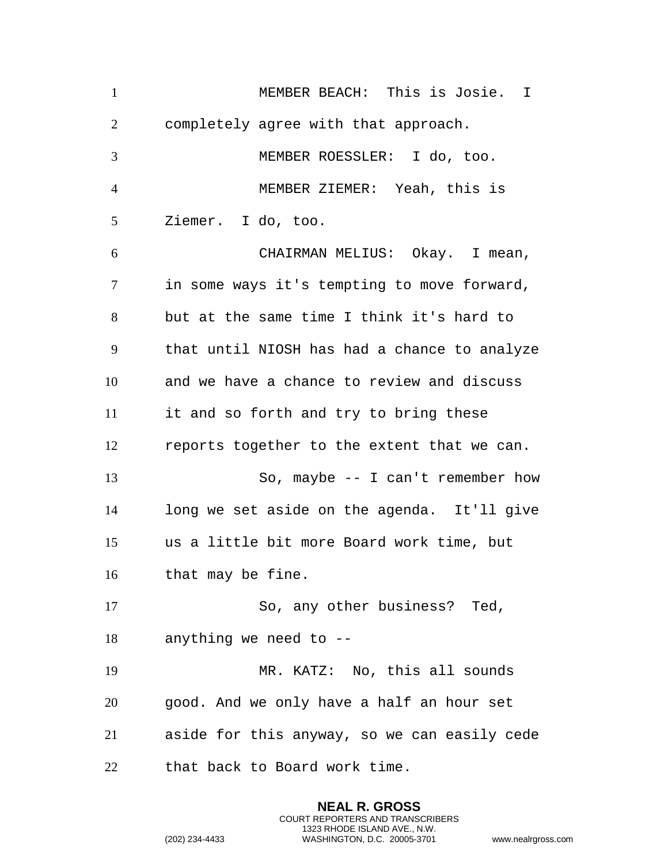| $\mathbf{1}$   | MEMBER BEACH: This is Josie. I               |
|----------------|----------------------------------------------|
| $\overline{2}$ | completely agree with that approach.         |
| $\overline{3}$ | MEMBER ROESSLER: I do, too.                  |
| $\overline{4}$ | MEMBER ZIEMER: Yeah, this is                 |
| 5              | Ziemer. I do, too.                           |
| 6              | CHAIRMAN MELIUS: Okay. I mean,               |
| $\tau$         | in some ways it's tempting to move forward,  |
| 8              | but at the same time I think it's hard to    |
| 9              | that until NIOSH has had a chance to analyze |
| 10             | and we have a chance to review and discuss   |
| 11             | it and so forth and try to bring these       |
| 12             | reports together to the extent that we can.  |
| 13             | So, maybe $-$ I can't remember how           |
| 14             | long we set aside on the agenda. It'll give  |
| 15             | us a little bit more Board work time, but    |
| 16             | that may be fine.                            |
| 17             | So, any other business? Ted,                 |
| 18             | anything we need to --                       |
| 19             | MR. KATZ: No, this all sounds                |
| 20             | good. And we only have a half an hour set    |
| 21             | aside for this anyway, so we can easily cede |
| 22             | that back to Board work time.                |

**NEAL R. GROSS** COURT REPORTERS AND TRANSCRIBERS 1323 RHODE ISLAND AVE., N.W.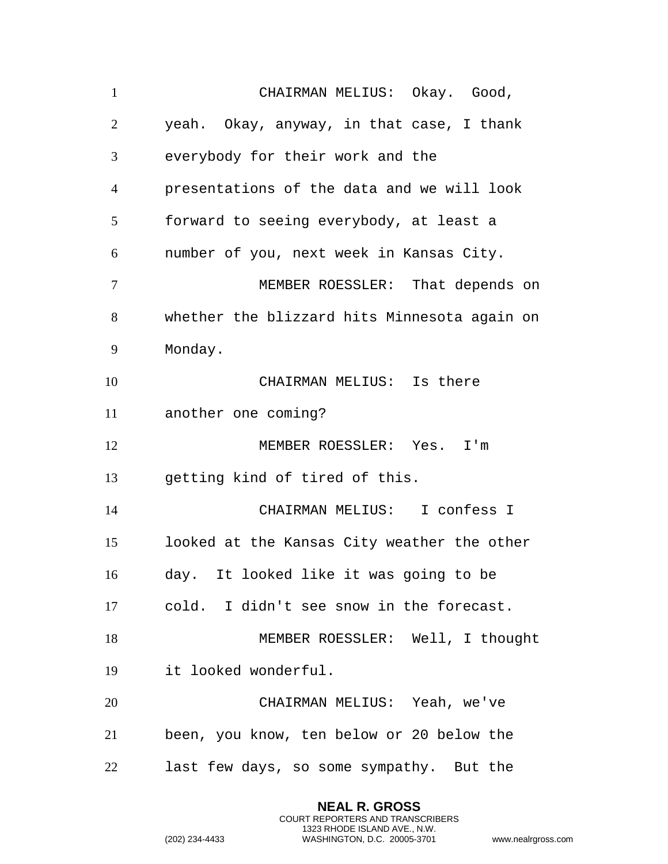CHAIRMAN MELIUS: Okay. Good, yeah. Okay, anyway, in that case, I thank everybody for their work and the presentations of the data and we will look forward to seeing everybody, at least a number of you, next week in Kansas City. MEMBER ROESSLER: That depends on whether the blizzard hits Minnesota again on Monday. CHAIRMAN MELIUS: Is there another one coming? MEMBER ROESSLER: Yes. I'm getting kind of tired of this. CHAIRMAN MELIUS: I confess I looked at the Kansas City weather the other day. It looked like it was going to be cold. I didn't see snow in the forecast. MEMBER ROESSLER: Well, I thought it looked wonderful. CHAIRMAN MELIUS: Yeah, we've been, you know, ten below or 20 below the last few days, so some sympathy. But the

> **NEAL R. GROSS** COURT REPORTERS AND TRANSCRIBERS 1323 RHODE ISLAND AVE., N.W.

```
(202) 234-4433 WASHINGTON, D.C. 20005-3701 www.nealrgross.com
```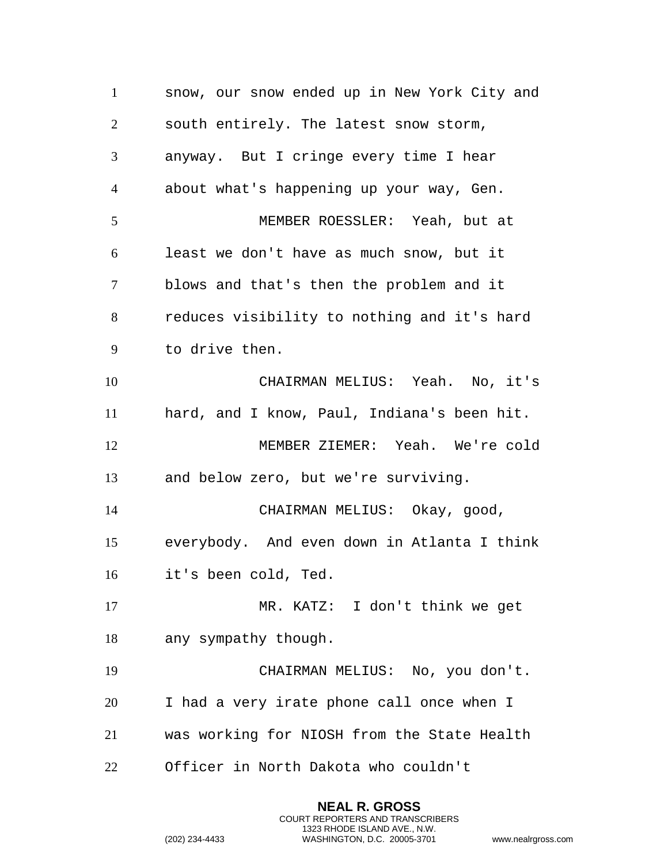snow, our snow ended up in New York City and south entirely. The latest snow storm, anyway. But I cringe every time I hear about what's happening up your way, Gen. MEMBER ROESSLER: Yeah, but at least we don't have as much snow, but it blows and that's then the problem and it reduces visibility to nothing and it's hard to drive then. CHAIRMAN MELIUS: Yeah. No, it's hard, and I know, Paul, Indiana's been hit. MEMBER ZIEMER: Yeah. We're cold and below zero, but we're surviving. CHAIRMAN MELIUS: Okay, good, everybody. And even down in Atlanta I think it's been cold, Ted. MR. KATZ: I don't think we get any sympathy though. CHAIRMAN MELIUS: No, you don't. I had a very irate phone call once when I was working for NIOSH from the State Health Officer in North Dakota who couldn't

> **NEAL R. GROSS** COURT REPORTERS AND TRANSCRIBERS 1323 RHODE ISLAND AVE., N.W.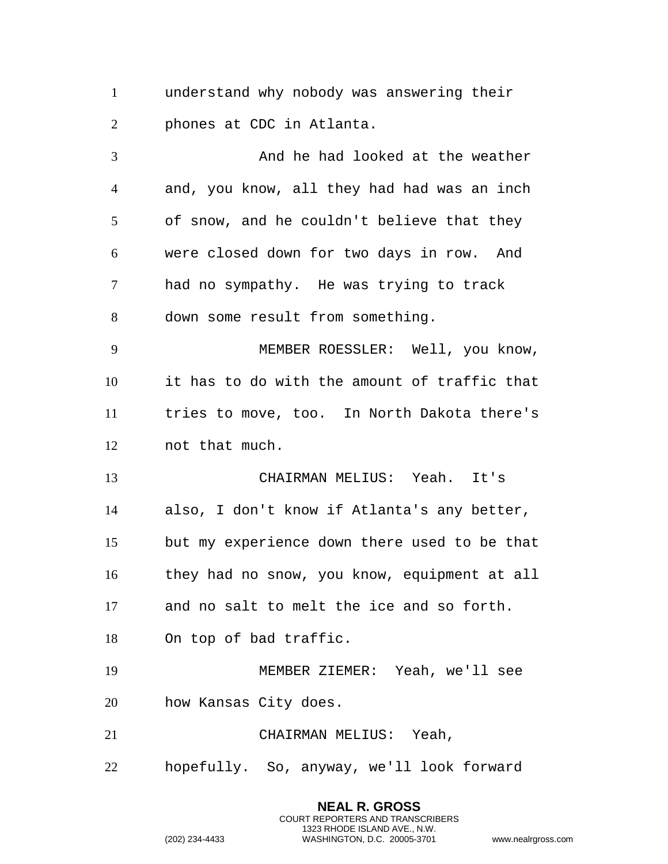understand why nobody was answering their phones at CDC in Atlanta.

3 And he had looked at the weather and, you know, all they had had was an inch of snow, and he couldn't believe that they were closed down for two days in row. And had no sympathy. He was trying to track down some result from something. MEMBER ROESSLER: Well, you know, it has to do with the amount of traffic that tries to move, too. In North Dakota there's not that much. CHAIRMAN MELIUS: Yeah. It's also, I don't know if Atlanta's any better, but my experience down there used to be that they had no snow, you know, equipment at all and no salt to melt the ice and so forth. On top of bad traffic. MEMBER ZIEMER: Yeah, we'll see how Kansas City does. CHAIRMAN MELIUS: Yeah, hopefully. So, anyway, we'll look forward

> **NEAL R. GROSS** COURT REPORTERS AND TRANSCRIBERS 1323 RHODE ISLAND AVE., N.W.